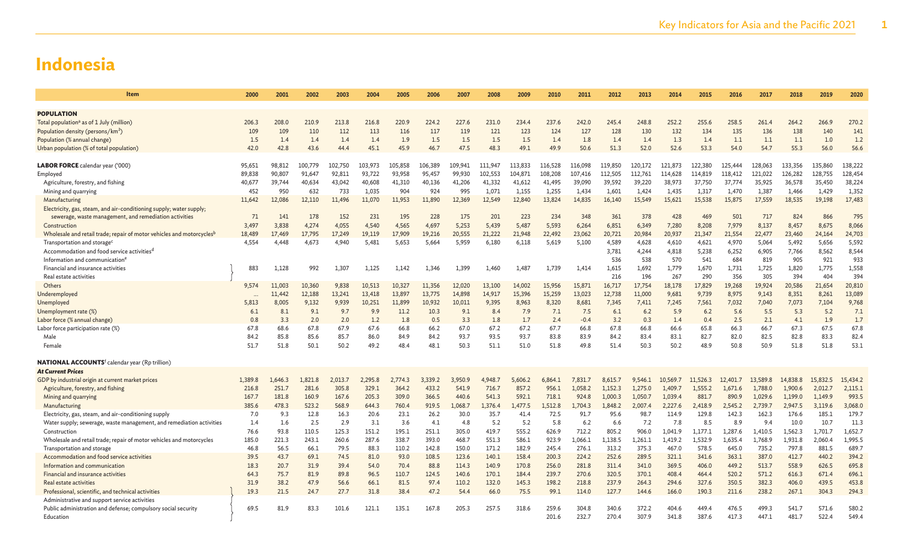| Item                                                                              | 2000         | 2001         | 2002         | 2003         | 2004         | 2005         | 2006         | 2007         | 2008         | 2009         | 2010         | 2011         | 2012         | 2013         | 2014         | 2015         | 2016         | 2017         | 2018         | 2019         | 2020         |
|-----------------------------------------------------------------------------------|--------------|--------------|--------------|--------------|--------------|--------------|--------------|--------------|--------------|--------------|--------------|--------------|--------------|--------------|--------------|--------------|--------------|--------------|--------------|--------------|--------------|
|                                                                                   |              |              |              |              |              |              |              |              |              |              |              |              |              |              |              |              |              |              |              |              |              |
| <b>POPULATION</b>                                                                 |              |              |              |              |              |              |              |              |              |              |              |              |              |              |              |              |              |              |              |              |              |
| Total population <sup>a</sup> as of 1 July (million)                              | 206.3        | 208.0        | 210.9        | 213.8        | 216.8        | 220.9        | 224.2        | 227.6        | 231.0        | 234.4        | 237.6        | 242.0        | 245.4        | 248.8        | 252.2        | 255.6        | 258.5        | 261.4        | 264.2        | 266.9        | 270.2        |
| Population density (persons/km <sup>2</sup> )                                     | 109          | 109          | 110          | 112          | 113          | 116          | 117          | 119          | 121          | 123          | 124          | 127          | 128          | 130          | 132          | 134          | 135          | 136          | 138          | 140          | 141          |
| Population (% annual change)                                                      | 1.5          | 1.4          | 1.4          | 1.4          | 1.4          | 1.9          | 1.5          | 1.5          | 1.5          | 1.5          | 1.4          | 1.8          | 1.4          | 1.4          | 1.3          | 1.4          | 1.1          | 1.1          | 1.1          | 1.0          | 1.2          |
| Urban population (% of total population)                                          | 42.0         | 42.8         | 43.6         | 44.4         | 45.1         | 45.9         | 46.7         | 47.5         | 48.3         | 49.1         | 49.9         | 50.6         | 51.3         | 52.0         | 52.6         | 53.3         | 54.0         | 54.7         | 55.3         | 56.0         | 56.6         |
|                                                                                   |              |              |              |              |              |              |              |              |              |              |              |              |              |              |              |              |              |              |              |              |              |
| <b>LABOR FORCE</b> calendar year ('000)                                           | 95,651       | 98,812       | 100,779      | 102,750      | 103,973      | 105,858      | L06,389      | 109.941      | 111.947      | 113,833      | 116,528      | 116,098      | 119,850      | 120,172      | 121.873      | 122,380      | 125,444      | 128,063      | 133,356      | 135,860      | 138,222      |
| Employed                                                                          | 89,838       | 90,807       | 91,647       | 92,811       | 93,722       | 93,958       | 95,457       | 99,930       | 102,553      | 104,871      | 108,208      | 107,416      | 112,505      | 112,761      | 114,628      | 114,819      | 118,412      | 121,022      | 126,282      | 128,755      | 128,454      |
| Agriculture, forestry, and fishing                                                | 40,677       | 39,744       | 40,634       | 43,042       | 40,608       | 41,310       | 40,136       | 41,206       | 41,332       | 41,612       | 41,495       | 39,090       | 39,592       | 39,220       | 38,973       | 37,750       | 37,774       | 35,925       | 36,578       | 35,450       | 38,224       |
| Mining and quarrying                                                              | 452          | 950          | 632          | 733          | 1,035        | 904          | 924          | 995          | 1,071        | 1,155        | 1,255        | 1,434        | 1,601        | 1,424        | 1,435        | 1,317        | 1,470        | 1,387        | 1,466        | 1,429        | 1,352        |
| Manufacturing                                                                     | 11,642       | 12,086       | 12,110       | 11,496       | 11,070       | 11,953       | 11,890       | 12,369       | 12,549       | 12,840       | 13,824       | 14,835       | 16,140       | 15,549       | 15,621       | 15,538       | 15,875       | 17,559       | 18,535       | 19,198       | 17,483       |
| Electricity, gas, steam, and air-conditioning supply; water supply;               |              |              |              |              |              |              |              |              |              |              |              |              |              |              |              |              |              |              |              |              |              |
| sewerage, waste management, and remediation activities                            | 71           | 141          | 178          | 152          | 231          | 195          | 228          | 175          | 201          | 223          | 234          | 348          | 361          | 378          | 428          | 469          | 501          | 717          | 824          | 866          | 795          |
| Construction                                                                      | 3,497        | 3,838        | 4,274        | 4,055        | 4,540        | 4,565        | 4,697        | 5,253        | 5,439        | 5,487        | 5,593        | 6,264        | 6,851        | 6,349        | 7,280        | 8,208        | 7,979        | 8,137        | 8,457        | 8,675        | 8,066        |
| Wholesale and retail trade; repair of motor vehicles and motorcycles <sup>b</sup> | 18,489       | 17,469       | 17,795       | 17,249       | 19,119       | 17,909       | 19,216       | 20,555       | 21,222       | 21,948       | 22,492       | 23,062       | 20,721       | 20,984       | 20,937       | 21,347       | 21,554       | 22,477       | 23,460       | 24,164       | 24,703       |
| Transportation and storage <sup>c</sup>                                           | 4,554        | 4,448        | 4,673        | 4,940        | 5,481        | 5,653        | 5,664        | 5,959        | 6,180        | 6,118        | 5,619        | 5,100        | 4,589        | 4,628        | 4,610        | 4,621        | 4,970        | 5,064        | 5,492        | 5,656        | 5,592        |
| Accommodation and food service activities <sup>d</sup>                            |              |              |              |              |              |              |              |              |              |              |              |              | 3.781        | 4,244        | 4,818        | 5,238        | 6,252        | 6,905        | 7,766        | 8,562        | 8,544        |
| Information and communication <sup>6</sup>                                        |              |              |              |              |              |              |              |              |              |              |              |              | 536          | 538          | 570          | 541          | 684          | 819          | 905          | 921          | 933          |
| Financial and insurance activities                                                | 883          | 1,128        | 992          | 1,307        | 1,125        | 1,142        | 1,346        | 1,399        | 1,460        | 1,487        | 1,739        | 1,414        | 1,615        | 1,692        | 1,779        | 1,670        | 1,731        | 1,725        | 1,820        | 1,775        | 1,558        |
| Real estate activities                                                            |              |              |              |              |              |              |              |              |              |              |              |              | 216          | 196          | 267          | 290          | 356          | 305          | 394          | 404          | 394          |
| Others                                                                            | 9,574        | 11,003       | 10,360       | 9,838        | 10,513       | 10.327       | 11,356       | 12,020       | 13,100       | 14,002       | 15,956       | 15,871       | 16,717       | 17,754       | 18,178       | 17,829       | 19,268       | 19.924       | 20,586       | 21,654       | 20,810       |
| Underemployed                                                                     |              | 11,442       | 12,188       | 13,241       | 13,418       | 13,897       | 13,775       | 14,898       | 14,917       | 15,396       | 15,259       | 13,023       | 12,738       | 11,000       | 9,681        | 9,739        | 8,975        | 9,143        | 8,351        | 8,261        | 13,089       |
| Unemployed                                                                        | 5,813        | 8,005        | 9,132        | 9,939        | 10,251       | 11,899       | 10,932       | 10,011       | 9,395        | 8,963        | 8,320        | 8,681        | 7,345        | 7,411        | 7,245        | 7,561        | 7,032        | 7,040        | 7,073        | 7,104        | 9,768        |
| Unemployment rate (%)                                                             | 6.1          | 8.1          | 9.1          | 9.7          | 9.9          | 11.2         | 10.3         | 9.1          | 8.4          | 7.9          | 7.1          | 7.5          | 6.1          | 6.2          | 5.9          | 6.2          | 5.6          | 5.5          | 5.3          | 5.2          | 7.1          |
| Labor force (% annual change)                                                     | 0.8          | 3.3          | 2.0          | 2.0          | 1.2          | 1.8          | 0.5          | 3.3          | 1.8          | 1.7          | 2.4          | $-0.4$       | 3.2          | 0.3          | 1.4          | 0.4          | 2.5          | 2.1          | 4.1          | 1.9          | 1.7          |
| (%) Labor force participation rate                                                | 67.8         | 68.6         | 67.8         | 67.9<br>85.7 | 67.6         | 66.8         | 66.2         | 67.0         | 67.2<br>93.5 | 67.2         | 67.7<br>83.8 | 66.8         | 67.8         | 66.8         | 66.6         | 65.8<br>82.7 | 66.3         | 66.7         | 67.3<br>82.8 | 67.5<br>83.3 | 67.8         |
| Male                                                                              | 84.2<br>51.7 | 85.8<br>51.8 | 85.6<br>50.1 | 50.2         | 86.0<br>49.2 | 84.9<br>48.4 | 84.2<br>48.1 | 93.7<br>50.3 | 51.1         | 93.7<br>51.0 | 51.8         | 83.9<br>49.8 | 84.2<br>51.4 | 83.4<br>50.3 | 83.1<br>50.2 | 48.9         | 82.0<br>50.8 | 82.5<br>50.9 | 51.8         | 51.8         | 82.4<br>53.1 |
| Female                                                                            |              |              |              |              |              |              |              |              |              |              |              |              |              |              |              |              |              |              |              |              |              |
| <b>NATIONAL ACCOUNTS<sup>f</sup></b> calendar year (Rp trillion)                  |              |              |              |              |              |              |              |              |              |              |              |              |              |              |              |              |              |              |              |              |              |
| <b>At Current Prices</b>                                                          |              |              |              |              |              |              |              |              |              |              |              |              |              |              |              |              |              |              |              |              |              |
| GDP by industrial origin at current market prices                                 | 1.389.8      | 1.646.3      | 1.821.8      | 2.013.7      | 2.295.8      | 2.774.3      | 3.339.2      | 3.950.9      | 4,948.7      | 5.606.2      | 6.864.1      | 7.831.7      | 8.615.7      | 9.546.1      | 10,569.7     | 11,526.3     | 12,401.7     | 13,589.8     | 14,838.8     | 15,832.5     | 15,434.2     |
| Agriculture, forestry, and fishing                                                | 216.8        | 251.7        | 281.6        | 305.8        | 329.1        | 364.2        | 433.2        | 541.9        | 716.7        | 857.2        | 956.1        | 1.058.2      | 1.152.3      | 1,275.0      | 1.409.7      | 1,555.2      | 1.671.6      | 1,788.0      | 1,900.6      | 2.012.7      | 2,115.1      |
| Mining and quarrying                                                              | 167.7        | 181.8        | 160.9        | 167.6        | 205.3        | 309.0        | 366.5        | 440.6        | 541.3        | 592.1        | 718.1        | 924.8        | 1,000.3      | 1,050.7      | 1,039.4      | 881.7        | 890.9        | 1,029.6      | 1,199.0      | 1,149.9      | 993.5        |
| Manufacturing                                                                     | 385.6        | 478.3        | 523.2        | 568.9        | 644.3        | 760.4        | 919.5        | 1,068.7      | 1.376.4      | 1.477.5      | L.512.8      | 1.704.3      | 1.848.2      | 2,007.4      | 2.227.6      | 2,418.9      | 2.545.2      | 2,739.7      | 2.947.5      | 3.119.6      | 3,068.0      |
| Electricity, gas, steam, and air-conditioning supply                              | 7.0          | 9.3          | 12.8         | 16.3         | 20.6         | 23.1         | 26.2         | 30.0         | 35.7         | 41.4         | 72.5         | 91.7         | 95.6         | 98.7         | 114.9        | 129.8        | 142.3        | 162.3        | 176.6        | 185.1        | 179.7        |
| Water supply; sewerage, waste management, and remediation activities              | 1.4          | 1.6          | 2.5          | 2.9          | 3.1          | 3.6          | 4.1          | 4.8          | 5.2          | 5.2          | 5.8          | 6.2          | 6.6          | 7.2          | 7.8          | 8.5          | 8.9          | 9.4          | 10.0         | 10.7         | 11.3         |
| Construction                                                                      | 76.6         | 93.8         | 110.5        | 125.3        | 151.2        | 195.1        | 251.1        | 305.0        | 419.7        | 555.2        | 626.9        | 712.2        | 805.2        | 906.0        | 1,041.9      | 1,177.1      | 1,287.6      | 1,410.5      | 1,562.3      | 1,701.7      | 1,652.7      |
| Wholesale and retail trade; repair of motor vehicles and motorcycles              | 185.0        | 221.3        | 243.1        | 260.6        | 287.6        | 338.7        | 393.0        | 468.7        | 551.3        | 586.1        | 923.9        | 1,066.1      | 1,138.5      | 1,261.1      | 1,419.2      | 1,532.9      | 1,635.4      | 1,768.9      | 1,931.8      | 2,060.4      | 1,995.5      |
| Transportation and storage                                                        | 46.8         | 56.5         | 66.1         | 79.5         | 88.3         | 110.2        | 142.8        | 150.0        | 171.2        | 182.9        | 245.4        | 276.1        | 313.2        | 375.3        | 467.0        | 578.5        | 645.0        | 735.2        | 797.8        | 881.5        | 689.7        |
| Accommodation and food service activities                                         | 39.5         | 43.7         | 69.1         | 74.5         | 81.0         | 93.0         | 108.5        | 123.6        | 140.1        | 158.4        | 200.3        | 224.2        | 252.6        | 289.5        | 321.1        | 341.6        | 363.1        | 387.0        | 412.7        | 440.2        | 394.2        |
| Information and communication                                                     | 18.3         | 20.7         | 31.9         | 39.4         | 54.0         | 70.4         | 88.8         | 114.3        | 140.9        | 170.8        | 256.0        | 281.8        | 311.4        | 341.0        | 369.5        | 406.0        | 449.2        | 513.7        | 558.9        | 626.5        | 695.8        |
| Financial and insurance activities                                                | 64.3         | 75.7         | 81.9         | 89.8         | 96.5         | 110.7        | 124.5        | 140.6        | 170.1        | 184.4        | 239.7        | 270.6        | 320.5        | 370.1        | 408.4        | 464.4        | 520.2        | 571.2        | 616.3        | 671.4        | 696.1        |
| Real estate activities                                                            | 31.9         | 38.2         | 47.9         | 56.6         | 66.1         | 81.5         | 97.4         | 110.2        | 132.0        | 145.3        | 198.2        | 218.8        | 237.9        | 264.3        | 294.6        | 327.6        | 350.5        | 382.3        | 406.0        | 439.5        | 453.8        |
| Professional, scientific, and technical activities                                | 19.3         | 21.5         | 24.7         | 27.7         | 31.8         | 38.4         | 47.2         | 54.4         | 66.0         | 75.5         | 99.1         | 114.0        | 127.7        | 144.6        | 166.0        | 190.3        | 211.6        | 238.2        | 267.1        | 304.3        | 294.3        |
| Administrative and support service activities                                     |              |              |              |              |              |              |              |              |              |              |              |              |              |              |              |              |              |              |              |              |              |
| Public administration and defense; compulsory social security                     | 69.5         | 81.9         | 83.3         | 101.6        | 121.1        | 135.1        | 167.8        | 205.3        | 257.5        | 318.6        | 259.6        | 304.8        | 340.6        | 372.2        | 404.6        | 449.4        | 476.5        | 499.3        | 541.7        | 571.6        | 580.2        |
| Education                                                                         |              |              |              |              |              |              |              |              |              |              | 201.6        | 232.7        | 270.4        | 307.9        | 341.8        | 387.6        | 417.3        | 447.1        | 481.7        | 522.4        | 549.         |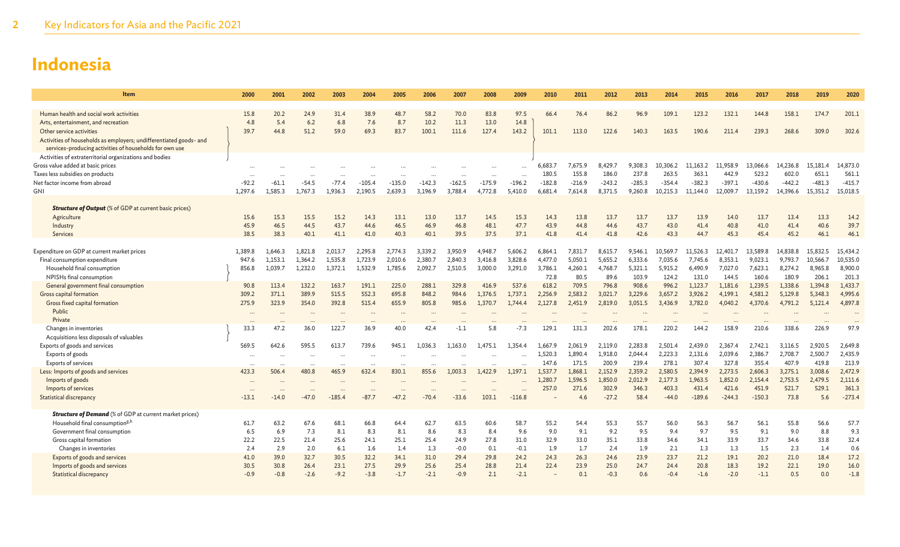| Item                                                               | 2000    | 2001    | 2002     | 2003     | 2004     | 2005     | 2006     | 2007     | 2008     | 2009     | 2010     | 2011     | 2012     | 2013     | 2014     | 2015     | 2016     | 2017     | 2018     | 2019     | 2020     |
|--------------------------------------------------------------------|---------|---------|----------|----------|----------|----------|----------|----------|----------|----------|----------|----------|----------|----------|----------|----------|----------|----------|----------|----------|----------|
| Human health and social work activities                            | 15.8    | 20.2    | 24.9     | 31.4     | 38.9     | 48.7     | 58.2     | 70.0     | 83.8     | 97.5     | 66.4     | 76.4     | 86.2     | 96.9     | 109.1    | 123.2    | 132.1    | 144.8    | 158.1    | 174.7    | 201.1    |
| Arts, entertainment, and recreation                                | 4.8     | 5.4     | 6.2      | 6.8      | 7.6      | 8.7      | 10.2     | 11.3     | 13.0     | 14.8     |          |          |          |          |          |          |          |          |          |          |          |
| Other service activities                                           | 39.7    | 44.8    | 51.2     | 59.0     | 69.3     | 83.7     | 100.1    | 111.6    | 127.4    | 143.2    | 101.1    | 113.0    | 122.6    | 140.3    | 163.5    | 190.6    | 211.4    | 239.3    | 268.6    | 309.0    | 302.6    |
| Activities of households as employers; undifferentiated goods- and |         |         |          |          |          |          |          |          |          |          |          |          |          |          |          |          |          |          |          |          |          |
| services-producing activities of households for own use            |         |         |          |          |          |          |          |          |          |          |          |          |          |          |          |          |          |          |          |          |          |
| Activities of extraterritorial organizations and bodies            |         |         |          |          |          |          |          |          |          |          |          |          |          |          |          |          |          |          |          |          |          |
| Gross value added at basic prices                                  |         |         |          |          |          |          |          |          |          |          | 6,683.7  | 7.675.9  | 8.429.7  | 9.308.3  | ,306.2   | 11,163.2 | 11.958.9 | 13,066.6 | 14,236.8 | 15,181.4 | 14,873.0 |
| Taxes less subsidies on products                                   |         |         |          |          |          |          |          |          |          |          | 180.5    | 155.8    | 186.0    | 237.8    | 263.5    | 363.1    | 442.9    | 523.2    | 602.0    | 651.1    | 561.1    |
| Net factor income from abroad                                      | $-92.2$ | $-61.1$ | $-54.5$  | $-77.4$  | $-105.4$ | $-135.0$ | $-142.3$ | $-162.5$ | $-175.9$ | $-196.2$ | $-182.8$ | $-216.9$ | $-243.2$ | $-285.3$ | $-354.4$ | $-382.3$ | $-397.1$ | $-430.6$ | $-442.2$ | $-481.3$ | $-415.7$ |
| GNI                                                                | 1,297.6 | 1,585.3 | 1,767.3  | 1,936.3  | 2,190.5  | 2,639.3  | 3,196.9  | 3,788.4  | 4,772.8  | 5,410.0  | 6,681.4  | 7,614.8  | 8,371.5  | 9,260.8  | 10,215.3 | 11,144.0 | 12,009.7 | 13,159.2 | 14,396.6 | 15,351.2 | 15,018.5 |
|                                                                    |         |         |          |          |          |          |          |          |          |          |          |          |          |          |          |          |          |          |          |          |          |
| <b>Structure of Output</b> (% of GDP at current basic prices)      |         |         |          |          |          |          |          |          |          |          |          |          |          |          |          |          |          |          |          |          |          |
| Agriculture                                                        | 15.6    | 15.3    | 15.5     | 15.2     | 14.3     | 13.1     | 13.0     | 13.7     | 14.5     | 15.3     | 14.3     | 13.8     | 13.7     | 13.7     | 13.7     | 13.9     | 14.0     | 13.7     | 13.4     | 13.3     | 14.2     |
| Industry                                                           | 45.9    | 46.5    | 44.5     | 43.7     | 44.6     | 46.5     | 46.9     | 46.8     | 48.1     | 47.7     | 43.9     | 44.8     | 44.6     | 43.7     | 43.0     | 41.4     | 40.8     | 41.0     | 41.4     | 40.6     | 39.7     |
| <b>Services</b>                                                    | 38.5    | 38.3    | 40.1     | 41.1     | 41.0     | 40.3     | 40.1     | 39.5     | 37.5     | 37.1     | 41.8     | 41.4     | 41.8     | 42.6     | 43.3     | 44.7     | 45.3     | 45.4     | 45.2     | 46.1     | 46.1     |
|                                                                    |         |         |          |          |          |          |          |          |          |          |          |          |          |          |          |          |          |          |          |          |          |
| Expenditure on GDP at current market prices                        | 1.389.8 | 1.646.3 | 1,821.8  | 2.013.7  | 2.295.8  | 2,774.3  | 3,339.2  | 3,950.9  | 4,948.7  | 5,606.2  | 6,864.1  | 7.831.7  | 8,615.7  | 9.546.1  | 10.569.7 | 11,526.3 | 12,401.7 | 13.589.8 | 14,838.8 | 15,832.5 | 15,434.2 |
| Final consumption expenditure                                      | 947.6   | 1.153.1 | 1.364.2  | 1.535.8  | 1.723.9  | 2,010.6  | 2.380.7  | 2,840.3  | 3,416.8  | 3,828.6  | 4,477.0  | 5.050.1  | 5.655.2  | 6,333.6  | 7.035.6  | 7.745.6  | 8.353.1  | 9.023.1  | 9.793.7  | 10,566.7 | 10,535.0 |
| Household final consumption                                        | 856.8   | 1,039.7 | 1,232.0  | 1,372.1  | 1,532.9  | 1,785.6  | 2,092.7  | 2,510.5  | 3,000.0  | 3,291.0  | 3,786.1  | 4,260.1  | 4,768.7  | 5,321.1  | 5,915.2  | 6,490.9  | 7,027.0  | 7,623.1  | 8,274.2  | 8,965.8  | 8,900.0  |
| NPISHs final consumption                                           |         |         |          |          |          |          |          |          |          |          | 72.8     | 80.5     | 89.6     | 103.9    | 124.2    | 131.0    | 144.5    | 160.6    | 180.9    | 206.1    | 201.3    |
| General government final consumption                               | 90.8    | 113.4   | 132.2    | 163.7    | 191.1    | 225.0    | 288.1    | 329.8    | 416.9    | 537.6    | 618.2    | 709.5    | 796.8    | 908.6    | 996.2    | 1,123.7  | 1,181.6  | 1.239.5  | 1,338.6  | 1.394.8  | 1,433.7  |
| Gross capital formation                                            | 309.2   | 371.1   | 389.9    | 515.5    | 552.3    | 695.8    | 848.2    | 984.6    | 1.376.5  | 1,737.1  | 2.256.9  | 2,583.2  | 3,021.7  | 3,229.6  | 3,657.2  | 3,926.2  | 4,199.1  | 4,581.2  | 5,129.8  | 5,348.3  | 4,995.6  |
| Gross fixed capital formation<br>Public                            | 275.9   | 323.9   | 354.0    | 392.8    | 515.4    | 655.9    | 805.8    | 985.6    | 1,370.7  | 1.744.4  | 2,127.8  | 2,451.9  | 2,819.0  | 3,051.5  | 3,436.9  | 3,782.0  | 4,040.2  | 4,370.6  | 4,791.2  | 5,121.4  | 4,897.8  |
| Private                                                            |         |         |          |          |          |          |          |          |          |          |          |          |          |          |          |          |          |          |          |          |          |
| Changes in inventories                                             | 33.3    | 47.2    | 36.0     | 122.7    | 36.9     | 40.0     | 42.4     | $-1.1$   | 5.8      | $-7.3$   | 129.1    | 131.3    | 202.6    | 178.1    | 220.2    | 144.2    | 158.9    | 210.6    | 338.6    | 226.9    | 97.9     |
| Acquisitions less disposals of valuables                           |         |         |          |          |          |          |          |          |          |          |          |          |          |          |          |          |          |          |          |          |          |
| Exports of goods and services                                      | 569.5   | 642.6   | 595.5    | 613.7    | 739.6    | 945.1    | 1.036.3  | 1.163.0  | .475.1   | 1.354.4  | 1,667.9  | 2.061.9  | 2,119.0  | 2,283.8  | 2,501.4  | 2,439.0  | 2,367.4  | 2,742.1  | 3,116.5  | 2,920.5  | 2,649.8  |
| Exports of goods                                                   |         |         |          |          |          |          |          |          |          |          | 1,520.3  | 1.890.4  | 1.918.0  | 2,044.4  | 2,223.3  | 2,131.6  | 2,039.6  | 2,386.7  | 2,708.7  | 2,500.7  | 2,435.9  |
| <b>Exports of services</b>                                         |         |         | $\cdots$ |          | $\cdots$ |          |          |          |          |          | 147.6    | 171.5    | 200.9    | 239.4    | 278.1    | 307.4    | 327.8    | 355.4    | 407.9    | 419.8    | 213.9    |
| Less: Imports of goods and services                                | 423.3   | 506.4   | 480.8    | 465.9    | 632.4    | 830.1    | 855.6    | 1,003.3  | 1,422.9  | 1,197.1  | 1.537.7  | 1,868.1  | 2,152.9  | 2,359.2  | 2,580.5  | 2,394.9  | 2,273.5  | 2,606.3  | 3,275.1  | 3,008.6  | 2,472.9  |
| Imports of goods                                                   |         |         |          |          |          |          |          |          |          |          | 1,280.7  | 1,596.5  | 1.850.0  | 2,012.9  | 2.177.3  | 1.963.5  | 1,852.0  | 2,154.4  | 2,753.5  | 2.479.5  | 2,111.6  |
| Imports of services                                                |         |         |          |          |          |          |          |          |          |          | 257.0    | 271.6    | 302.9    | 346.3    | 403.3    | 431.4    | 421.6    | 451.9    | 521.7    | 529.1    | 361.3    |
| <b>Statistical discrepancy</b>                                     | $-13.1$ | $-14.0$ | $-47.0$  | $-185.4$ | $-87.7$  | $-47.2$  | $-70.4$  | $-33.6$  | 103.1    | $-116.8$ |          | 4.6      | $-27.2$  | 58.4     | $-44.0$  | $-189.6$ | $-244.3$ | $-150.3$ | 73.8     | 5.6      | $-273.4$ |
| <b>Structure of Demand</b> (% of GDP at current market prices)     |         |         |          |          |          |          |          |          |          |          |          |          |          |          |          |          |          |          |          |          |          |
| Household final consumption <sup>g,h</sup>                         | 61.7    | 63.2    | 67.6     | 68.1     | 66.8     | 64.4     | 62.7     | 63.5     | 60.6     | 58.7     | 55.2     | 54.4     | 55.3     | 55.7     | 56.0     | 56.3     | 56.7     | 56.1     | 55.8     | 56.6     | 57.7     |
| Government final consumption                                       | 6.5     | 6.9     | 7.3      | 8.1      | 8.3      | 8.1      | 8.6      | 8.3      | 8.4      | 9.6      | 9.0      | 9.1      | 9.2      | 9.5      | 9.4      | 9.7      | 9.5      | 9.1      | 9.0      | 8.8      | 9.3      |
| Gross capital formation                                            | 22.2    | 22.5    | 21.4     | 25.6     | 24.1     | 25.1     | 25.4     | 24.9     | 27.8     | 31.0     | 32.9     | 33.0     | 35.1     | 33.8     | 34.6     | 34.1     | 33.9     | 33.7     | 34.6     | 33.8     | 32.4     |
| Changes in inventories                                             | 2.4     | 2.9     | 2.0      | 6.1      | 1.6      | 1.4      | 1.3      | $-0.0$   | 0.1      | $-0.1$   | 1.9      | 1.7      | 2.4      | 1.9      | 2.1      | 1.3      | 1.3      | 1.5      | 2.3      | 1.4      | 0.6      |
| Exports of goods and services                                      | 41.0    | 39.0    | 32.7     | 30.5     | 32.2     | 34.1     | 31.0     | 29.4     | 29.8     | 24.2     | 24.3     | 26.3     | 24.6     | 23.9     | 23.7     | 21.2     | 19.1     | 20.2     | 21.0     | 18.4     | 17.2     |
| Imports of goods and services                                      | 30.5    | 30.8    | 26.4     | 23.1     | 27.5     | 29.9     | 25.6     | 25.4     | 28.8     | 21.4     | 22.4     | 23.9     | 25.0     | 24.7     | 24.4     | 20.8     | 18.3     | 19.2     | 22.1     | 19.0     | 16.0     |
| Statistical discrepancy                                            | $-0.9$  | $-0.8$  | $-2.6$   | $-9.2$   | $-3.8$   | $-1.7$   | $-2.1$   | $-0.9$   | 2.1      | $-2.1$   |          | 0.1      | $-0.3$   | 0.6      | $-0.4$   | $-1.6$   | $-2.0$   | $-1.1$   | 0.5      | 0.0      | $-1.8$   |
|                                                                    |         |         |          |          |          |          |          |          |          |          |          |          |          |          |          |          |          |          |          |          |          |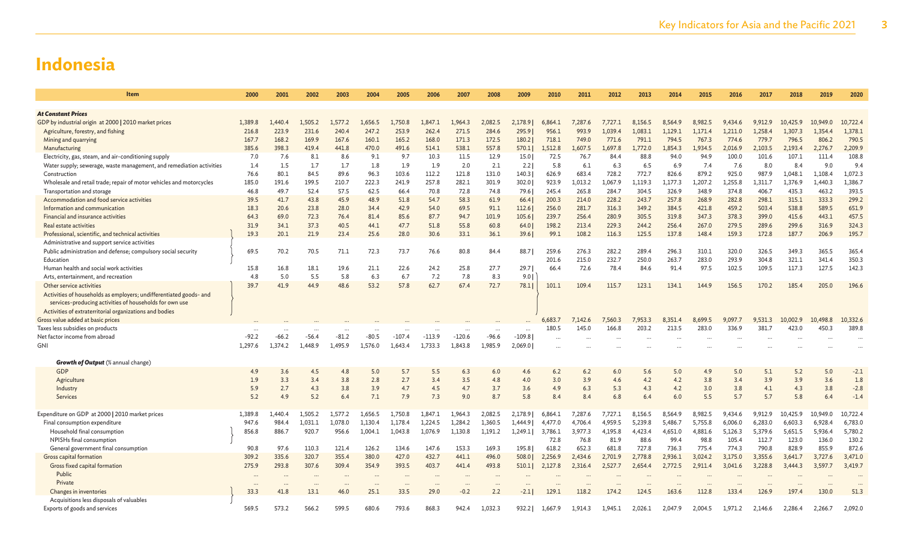| Item                                                                 | 2000    | 2001    | 2002    | 2003      | 2004    | 2005     | 2006     | 2007     | 2008                     | 2009     | 2010    | 2011    | 2012    | 2013    | 2014    | 2015    | 2016    | 2017    | 2018     | 2019     | 2020     |
|----------------------------------------------------------------------|---------|---------|---------|-----------|---------|----------|----------|----------|--------------------------|----------|---------|---------|---------|---------|---------|---------|---------|---------|----------|----------|----------|
|                                                                      |         |         |         |           |         |          |          |          |                          |          |         |         |         |         |         |         |         |         |          |          |          |
| <b>At Constant Prices</b>                                            |         |         |         |           |         |          |          |          |                          |          |         |         |         |         |         |         |         |         |          |          |          |
| GDP by industrial origin at 2000   2010 market prices                | 1.389.8 | 1,440.4 | 1,505.2 | 1,577.2   | 1,656.5 | 1,750.8  | 1,847.1  | 1,964.3  | 2,082.5                  | 2,178.9  | 6,864.1 | 7.287.6 | 7,727.1 | 8,156.5 | 8,564.9 | 8,982.5 | 9.434.6 | 9,912.9 | 10,425.9 | 10,949.0 | 10,722.4 |
| Agriculture, forestry, and fishing                                   | 216.8   | 223.9   | 231.6   | 240.4     | 247.2   | 253.9    | 262.4    | 271.5    | 284.6                    | 295.91   | 956.1   | 993.9   | 1,039.4 | 1,083.1 | 1,129.1 | 1,171.4 | 1.211.0 | 1,258.4 | 1,307.3  | 1.354.4  | 1,378.1  |
| Mining and quarrying                                                 | 167.7   | 168.2   | 169.9   | 167.6     | 160.1   | 165.2    | 168.0    | 171.3    | 172.5                    | 180.2    | 718.1   | 749.0   | 771.6   | 791.1   | 794.5   | 767.3   | 774.6   | 779.7   | 796.5    | 806.2    | 790.5    |
| Manufacturing                                                        | 385.6   | 398.3   | 419.4   | 441.8     | 470.0   | 491.6    | 514.1    | 538.1    | 557.8                    | 570.1    | 1,512.8 | 1,607.5 | 1,697.8 | 1.772.0 | 1,854.3 | 1,934.5 | 2,016.9 | 2,103.5 | 2,193.4  | 2,276.7  | 2,209.9  |
| Electricity, gas, steam, and air-conditioning supply                 | 7.0     | 7.6     | 8.1     | 8.6       | 9.1     | 9.7      | 10.3     | 11.5     | 12.9                     | 15.0     | 72.5    | 76.7    | 84.4    | 88.8    | 94.0    | 94.9    | 100.0   | 101.6   | 107.1    | 111.4    | 108.8    |
| Water supply; sewerage, waste management, and remediation activities | 1.4     | 1.5     | 1.7     | 1.7       | 1.8     | 1.9      | 1.9      | 2.0      | 2.1                      | 2.2      | 5.8     | 6.1     | 6.3     | 6.5     | 6.9     | 7.4     | 7.6     | 8.0     | 8.4      | 9.0      | 9.4      |
| Construction                                                         | 76.6    | 80.1    | 84.5    | 89.6      | 96.3    | 103.6    | 112.2    | 121.8    | 131.0                    | 140.3    | 626.9   | 683.4   | 728.2   | 772.7   | 826.6   | 879.2   | 925.0   | 987.9   | 1,048.1  | 1,108.4  | 1,072.3  |
| Wholesale and retail trade; repair of motor vehicles and motorcycles | 185.0   | 191.6   | 199.5   | 210.7     | 222.3   | 241.9    | 257.8    | 282.1    | 301.9                    | 302.0    | 923.9   | 1,013.2 | 1,067.9 | 1,119.3 | 1,177.3 | 1,207.2 | 1,255.8 | 1,311.7 | 1,376.9  | 1,440.3  | 1,386.7  |
| Transportation and storage                                           | 46.8    | 49.7    | 52.4    | 57.5      | 62.5    | 66.4     | 70.8     | 72.8     | 74.8                     | 79.6     | 245.4   | 265.8   | 284.7   | 304.5   | 326.9   | 348.9   | 374.8   | 406.7   | 435.3    | 463.2    | 393.5    |
| Accommodation and food service activities                            | 39.5    | 41.7    | 43.8    | 45.9      | 48.9    | 51.8     | 54.7     | 58.3     | 61.9                     | 66.4     | 200.3   | 214.0   | 228.2   | 243.7   | 257.8   | 268.9   | 282.8   | 298.1   | 315.1    | 333.3    | 299.2    |
| Information and communication                                        | 18.3    | 20.6    | 23.8    | 28.0      | 34.4    | 42.9     | 54.0     | 69.5     | 91.1                     | 112.6    | 256.0   | 281.7   | 316.3   | 349.2   | 384.5   | 421.8   | 459.2   | 503.4   | 538.8    | 589.5    | 651.9    |
| Financial and insurance activities                                   | 64.3    | 69.0    | 72.3    | 76.4      | 81.4    | 85.6     | 87.7     | 94.7     | 101.9                    | 105.6    | 239.7   | 256.4   | 280.9   | 305.5   | 319.8   | 347.3   | 378.3   | 399.0   | 415.6    | 443.1    | 457.5    |
| Real estate activities                                               | 31.9    | 34.1    | 37.3    | 40.5      | 44.1    | 47.7     | 51.8     | 55.8     | 60.8                     | 64.0     | 198.2   | 213.4   | 229.3   | 244.2   | 256.4   | 267.0   | 279.5   | 289.6   | 299.6    | 316.9    | 324.3    |
| Professional, scientific, and technical activities                   | 19.3    | 20.1    | 21.9    | 23.4      | 25.6    | 28.0     | 30.6     | 33.1     | 36.1                     | 39.6     | 99.1    | 108.2   | 116.3   | 125.5   | 137.8   | 148.4   | 159.3   | 172.8   | 187.7    | 206.9    | 195.7    |
| Administrative and support service activities                        |         |         |         |           |         |          |          |          |                          |          |         |         |         |         |         |         |         |         |          |          |          |
| Public administration and defense; compulsory social security        | 69.5    | 70.2    | 70.5    | 71.1      | 72.3    | 73.7     | 76.6     | 80.8     | 84.4                     | 88.7     | 259.6   | 276.3   | 282.2   | 289.4   | 296.3   | 310.1   | 320.0   | 326.5   | 349.3    | 365.5    | 365.4    |
| Education                                                            |         |         |         |           |         |          |          |          |                          |          | 201.6   | 215.0   | 232.7   | 250.0   | 263.7   | 283.0   | 293.9   | 304.8   | 321.1    | 341.4    | 350.3    |
| Human health and social work activities                              | 15.8    | 16.8    | 18.1    | 19.6      | 21.1    | 22.6     | 24.2     | 25.8     | 27.7                     | 29.7     | 66.4    | 72.6    | 78.4    | 84.6    | 91.4    | 97.5    | 102.5   | 109.5   | 117.3    | 127.5    | 142.3    |
| Arts, entertainment, and recreation                                  | 4.8     | 5.0     | 5.5     | 5.8       | 6.3     | 6.7      | 7.2      | 7.8      | 8.3                      | 9.01     |         |         |         |         |         |         |         |         |          |          |          |
| Other service activities                                             | 39.7    | 41.9    | 44.9    | 48.6      | 53.2    | 57.8     | 62.7     | 67.4     | 72.7                     | 78.1     | 101.1   | 109.4   | 115.7   | 123.1   | 134.1   | 144.9   | 156.5   | 170.2   | 185.4    | 205.0    | 196.6    |
| Activities of households as employers; undifferentiated goods- and   |         |         |         |           |         |          |          |          |                          |          |         |         |         |         |         |         |         |         |          |          |          |
| services-producing activities of households for own use              |         |         |         |           |         |          |          |          |                          |          |         |         |         |         |         |         |         |         |          |          |          |
| Activities of extraterritorial organizations and bodies              |         |         |         |           |         |          |          |          |                          |          |         |         |         |         |         |         |         |         |          |          |          |
| Gross value added at basic prices                                    |         |         |         |           |         |          |          |          |                          |          | 6,683.7 | 7,142.6 | 7,560.3 | 7.953.3 | 3.351.4 | 8.699.5 | 9.097.7 | 9,531.3 | 10,002.9 | 10,498.8 | 10,332.6 |
| Taxes less subsidies on products                                     |         |         |         |           |         |          |          |          | $\overline{\phantom{a}}$ | $\cdots$ | 180.5   | 145.0   | 166.8   | 203.2   | 213.5   | 283.0   | 336.9   | 381.7   | 423.0    | 450.3    | 389.8    |
| Net factor income from abroad                                        | $-92.2$ | $-66.2$ | $-56.4$ | $-81.2$   | $-80.5$ | $-107.4$ | $-113.9$ | $-120.6$ | $-96.6$                  | $-109.8$ |         |         |         |         |         |         |         |         |          |          |          |
| <b>GNI</b>                                                           | 1.297.6 | 1.374.2 | 1,448.9 | 1.495.9   | 1.576.0 | 1.643.4  | 1,733.3  | 1.843.8  | 1,985.9                  | 2,069.0  |         |         |         |         |         |         |         |         |          |          |          |
| <b>Growth of Output</b> (% annual change)                            |         |         |         |           |         |          |          |          |                          |          |         |         |         |         |         |         |         |         |          |          |          |
| <b>GDP</b>                                                           | 4.9     | 3.6     | 4.5     | 4.8       | 5.0     | 5.7      | 5.5      | 6.3      | 6.0                      | 4.6      | 6.2     | 6.2     | 6.0     | 5.6     | 5.0     | 4.9     | 5.0     | 5.1     | 5.2      | 5.0      | $-2.1$   |
| Agriculture                                                          | 1.9     | 3.3     | 3.4     | 3.8       | 2.8     | 2.7      | 3.4      | 3.5      | 4.8                      | 4.0      | 3.0     | 3.9     | 4.6     | 4.2     | 4.2     | 3.8     | 3.4     | 3.9     | 3.9      | 3.6      | 1.8      |
| Industry                                                             | 5.9     | 2.7     | 4.3     | 3.8       | 3.9     | 4.7      | 4.5      | 4.7      | 3.7                      | 3.6      | 4.9     | 6.3     | 5.3     | 4.3     | 4.2     | 3.0     | 3.8     | 4.1     | 4.3      | 3.8      | $-2.8$   |
| <b>Services</b>                                                      | 5.2     | 4.9     | 5.2     | 6.4       | 7.1     | 7.9      | 7.3      | 9.0      | 8.7                      | 5.8      | 8.4     | 8.4     | 6.8     | 6.4     | 6.0     | 5.5     | 5.7     | 5.7     | 5.8      | 6.4      | $-1.4$   |
|                                                                      |         |         |         |           |         |          |          |          |                          |          |         |         |         |         |         |         |         |         |          |          |          |
| Expenditure on GDP at 2000   2010 market prices                      | 1,389.8 | 1,440.4 | 1,505.2 | 1,577.2   | 1,656.5 | 1,750.8  | 1,847.1  | 1.964.3  | 2,082.5                  | 2,178.9  | 6,864.1 | 7,287.6 | 7,727.1 | 8,156.5 | 8.564.9 | 8,982.5 | 9,434.6 | 9,912.9 | 10,425.9 | 10,949.0 | 10,722.4 |
| Final consumption expenditure                                        | 947.6   | 984.4   | 1,031.1 | 1,078.0   | 1,130.4 | 1,178.4  | 1,224.5  | 1,284.2  | 1,360.5                  | 1,444.9  | 4,477.0 | 4,706.4 | 4,959.5 | 5,239.8 | 5,486.7 | 5,755.8 | 6,006.0 | 6,283.0 | 6,603.3  | 6,928.4  | 6,783.0  |
| Household final consumption                                          | 856.8   | 886.7   | 920.7   | 956.6     | 1,004.1 | 1,043.8  | 1,076.9  | 1,130.8  | 1,191.2                  | 1,249.1  | 3,786.1 | 3,977.3 | 4,195.8 | 4,423.4 | 4,651.0 | 4,881.6 | 5,126.3 | 5,379.6 | 5,651.5  | 5,936.4  | 5,780.2  |
| NPISHs final consumption                                             |         |         |         |           |         |          |          |          |                          |          | 72.8    | 76.8    | 81.9    | 88.6    | 99.4    | 98.8    | 105.4   | 112.7   | 123.0    | 136.0    | 130.2    |
| General government final consumption                                 | 90.8    | 97.6    | 110.3   | 121.4     | 126.2   | 134.6    | 147.6    | 153.3    | 169.3                    | 195.8    | 618.2   | 652.3   | 681.8   | 727.8   | 736.3   | 775.4   | 774.3   | 790.8   | 828.9    | 855.9    | 872.6    |
| Gross capital formation                                              | 309.2   | 335.6   | 320.7   | 355.4     | 380.0   | 427.0    | 432.7    | 441.1    | 496.0                    | 508.0    | 2,256.9 | 2,434.6 | 2,701.9 | 2,778.8 | 2,936.1 | 3,024.2 | 3,175.0 | 3,355.6 | 3,641.7  | 3,727.6  | 3,471.0  |
| Gross fixed capital formation                                        | 275.9   | 293.8   | 307.6   | 309.4     | 354.9   | 393.5    | 403.7    | 441.4    | 493.8                    | 510.1    | 2,127.8 | 2,316.4 | 2,527.7 | 2,654.4 | 2,772.5 | 2,911.4 | 3,041.6 | 3,228.8 | 3,444.3  | 3,597.7  | 3,419.7  |
| Public                                                               |         |         |         |           |         |          |          |          |                          |          |         |         |         |         |         |         |         |         |          |          |          |
| Private                                                              |         |         |         | $\ddotsc$ |         |          |          |          |                          |          |         |         |         |         |         |         |         |         |          |          |          |
| Changes in inventories                                               | 33.3    | 41.8    | 13.1    | 46.0      | 25.1    | 33.5     | 29.0     | $-0.2$   | 2.2                      | $-2.1$   | 129.1   | 118.2   | 174.2   | 124.5   | 163.6   | 112.8   | 133.4   | 126.9   | 197.4    | 130.0    | 51.3     |
| Acquisitions less disposals of valuables                             |         |         |         |           |         |          |          |          |                          |          |         |         |         |         |         |         |         |         |          |          |          |
| Exports of goods and services                                        | 569.5   | 573.2   | 566.2   | 599.5     | 680.6   | 793.6    | 868.3    | 942.4    | 1,032.3                  | 932.21   | 1,667.9 | 1,914.3 | 1,945.1 | 2,026.1 | 2.047.9 | 2,004.5 | 1.971.2 | 2,146.6 | 2,286.4  | 2,266.7  | 2,092.0  |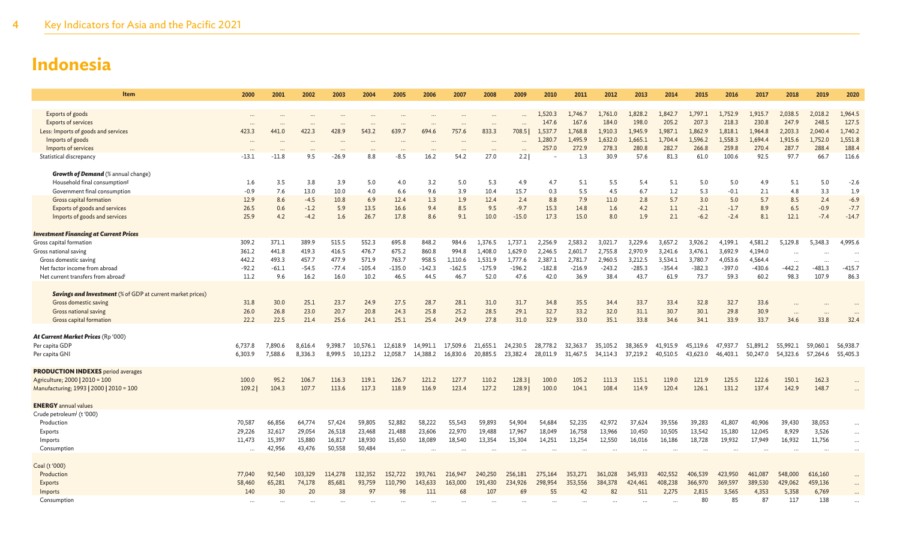| Item                                                              | 2000    | 2001     | 2002    | 2003    | 2004     | 2005     | 2006     | 2007     | 2008     | 2009     | 2010     | 2011              | 2012     | 2013     | 2014     | 2015     | 2016     | 2017     | 2018      | 2019     | 2020     |
|-------------------------------------------------------------------|---------|----------|---------|---------|----------|----------|----------|----------|----------|----------|----------|-------------------|----------|----------|----------|----------|----------|----------|-----------|----------|----------|
|                                                                   |         |          |         |         |          |          |          |          |          |          |          |                   |          |          |          |          |          |          |           |          |          |
| Exports of goods                                                  |         |          |         |         |          |          |          |          |          |          | 1,520.3  | 1,746.7           | 1,761.0  | 1,828.2  | 1,842.7  | 1.797.1  | 1,752.9  | 1,915.7  | 2,038.5   | 2,018.2  | 1,964.5  |
| <b>Exports of services</b>                                        |         |          |         |         |          |          |          |          |          |          | 147.6    | 167.6             | 184.0    | 198.0    | 205.2    | 207.3    | 218.3    | 230.8    | 247.9     | 248.5    | 127.5    |
| Less: Imports of goods and services                               | 423.3   | 441.0    | 422.3   | 428.9   | 543.2    | 639.7    | 694.6    | 757.6    | 833.3    | 708.51   | 1,537.7  | 1.768.8           | 1.910.3  | 1,945.9  | 1.987.1  | 1.862.9  | 1,818.1  | 1.964.8  | 2,203.3   | 2.040.4  | 1,740.2  |
| Imports of goods                                                  |         |          |         |         |          |          |          |          |          |          | 1,280.7  | 1.495.9           | 1.632.0  | 1,665.1  | 1,704.4  | 1,596.2  | 1,558.3  | 1,694.4  | 1,915.6   | 1,752.0  | 1,551.8  |
| Imports of services                                               |         | $\cdots$ |         |         |          |          |          |          |          |          | 257.0    | 272.9             | 278.3    | 280.8    | 282.7    | 266.8    | 259.8    | 270.4    | 287.7     | 288.4    | 188.4    |
| Statistical discrepancy                                           | $-13.1$ | $-11.8$  | 9.5     | $-26.9$ | 8.8      | $-8.5$   | 16.2     | 54.2     | 27.0     | 2.2      |          | 1.3               | 30.9     | 57.6     | 81.3     | 61.0     | 100.6    | 92.5     | 97.7      | 66.7     | 116.6    |
| <b>Growth of Demand</b> (% annual change)                         |         |          |         |         |          |          |          |          |          |          |          |                   |          |          |          |          |          |          |           |          |          |
| Household final consumption <sup>g</sup>                          | 1.6     | 3.5      | 3.8     | 3.9     | 5.0      | 4.0      | 3.2      | 5.0      | 5.3      | 4.9      | 4.7      | 5.1               | 5.5      | 5.4      | 5.1      | 5.0      | 5.0      | 4.9      | 5.1       | 5.0      | $-2.6$   |
| Government final consumption                                      | $-0.9$  | 7.6      | 13.0    | 10.0    | 4.0      | 6.6      | 9.6      | 3.9      | 10.4     | 15.7     | 0.3      | 5.5               | 4.5      | 6.7      | 1.2      | 5.3      | $-0.1$   | 2.1      | 4.8       | 3.3      | 1.9      |
| Gross capital formation                                           | 12.9    | 8.6      | $-4.5$  | 10.8    | 6.9      | 12.4     | 1.3      | 1.9      | 12.4     | 2.4      | 8.8      | 7.9               | 11.0     | 2.8      | 5.7      | 3.0      | 5.0      | 5.7      | 8.5       | 2.4      | $-6.9$   |
| Exports of goods and services                                     | 26.5    | 0.6      | $-1.2$  | 5.9     | 13.5     | 16.6     | 9.4      | 8.5      | 9.5      | $-9.7$   | 15.3     | 14.8              | 1.6      | 4.2      | 1.1      | $-2.1$   | $-1.7$   | 8.9      | 6.5       | $-0.9$   | $-7.7$   |
| Imports of goods and services                                     | 25.9    | 4.2      | $-4.2$  | 1.6     | 26.7     | 17.8     | 8.6      | 9.1      | 10.0     | $-15.0$  | 17.3     | 15.0              | 8.0      | 1.9      | 2.1      | $-6.2$   | $-2.4$   | 8.1      | 12.1      | $-7.4$   | $-14.7$  |
| <b>Investment Financing at Current Prices</b>                     |         |          |         |         |          |          |          |          |          |          |          |                   |          |          |          |          |          |          |           |          |          |
| Gross capital formation                                           | 309.2   | 371.1    | 389.9   | 515.5   | 552.3    | 695.8    | 848.2    | 984.6    | 1,376.5  | 1,737.1  | 2,256.9  | 2,583.2           | 3,021.7  | 3,229.6  | 3,657.2  | 3,926.2  | 4,199.1  | 4,581.2  | 5,129.8   | 5,348.3  | 4,995.6  |
| Gross national saving                                             | 361.2   | 441.8    | 419.3   | 416.5   | 476.7    | 675.2    | 860.8    | 994.8    | 1,408.0  | 1,629.0  | 2,246.5  | 2,601.7           | 2,755.8  | 2,970.9  | 3,241.6  | 3,476.1  | 3,692.9  | 4,194.0  | $\cdots$  |          |          |
| Gross domestic saving                                             | 442.2   | 493.3    | 457.7   | 477.9   | 571.9    | 763.7    | 958.5    | 1,110.6  | 1,531.9  | 1,777.6  | 2,387.1  | 2,781.7           | 2,960.5  | 3,212.5  | 3,534.1  | 3,780.7  | 4,053.6  | 4,564.4  | $\ddotsc$ |          | $\ddots$ |
| Net factor income from abroad                                     | $-92.2$ | $-61.1$  | $-54.5$ | $-77.4$ | $-105.4$ | $-135.0$ | $-142.3$ | $-162.5$ | $-175.9$ | $-196.2$ | $-182.8$ | $-216.9$          | $-243.2$ | $-285.3$ | $-354.4$ | $-382.3$ | $-397.0$ | $-430.6$ | $-442.2$  | $-481.3$ | $-415.7$ |
| Net current transfers from abroad                                 | 11.2    | 9.6      | 16.2    | 16.0    | 10.2     | 46.5     | 44.5     | 46.7     | 52.0     | 47.6     | 42.0     | 36.9              | 38.4     | 43.7     | 61.9     | 73.7     | 59.3     | 60.2     | 98.3      | 107.9    | 86.3     |
|                                                                   |         |          |         |         |          |          |          |          |          |          |          |                   |          |          |          |          |          |          |           |          |          |
| <b>Savings and Investment</b> (% of GDP at current market prices) |         |          |         |         |          |          |          |          |          |          |          |                   |          |          |          |          |          |          |           |          |          |
| Gross domestic saving                                             | 31.8    | 30.0     | 25.1    | 23.7    | 24.9     | 27.5     | 28.7     | 28.1     | 31.0     | 31.7     | 34.8     | 35.5              | 34.4     | 33.7     | 33.4     | 32.8     | 32.7     | 33.6     |           |          |          |
| Gross national saving                                             | 26.0    | 26.8     | 23.0    | 20.7    | 20.8     | 24.3     | 25.8     | 25.2     | 28.5     | 29.1     | 32.7     | 33.2              | 32.0     | 31.1     | 30.7     | 30.1     | 29.8     | 30.9     | $\ddotsc$ |          |          |
| Gross capital formation                                           | 22.2    | 22.5     | 21.4    | 25.6    | 24.1     | 25.1     | 25.4     | 24.9     | 27.8     | 31.0     | 32.9     | 33.0              | 35.1     | 33.8     | 34.6     | 34.1     | 33.9     | 33.7     | 34.6      | 33.8     | 32.4     |
|                                                                   |         |          |         |         |          |          |          |          |          |          |          |                   |          |          |          |          |          |          |           |          |          |
| At Current Market Prices (Rp '000)                                |         |          |         |         |          |          |          |          |          |          |          |                   |          |          |          |          |          |          |           |          |          |
| Per capita GDP                                                    | 6.737.8 | 7,890.6  | 8,616.4 | 9,398.7 | 10,576.1 | 12,618.9 | 14,991.1 | 17,509.6 | 21,655.1 | 24,230.5 | 28,778.2 | 32,363.7          | 35,105.2 | 38,365.9 | 41,915.9 | 45,119.6 | 47,937.7 | 51,891.2 | 55,992.1  | 59,060.1 | 56,938.7 |
| Per capita GNI                                                    | 6.303.9 | 7.588.6  | 8.336.3 | 8.999.5 | 10,123.2 | 12,058.7 | 14,388.2 | 16,830.6 | 20,885.5 | 23,382.4 |          | 28,011.9 31,467.5 | 34,114.3 | 37,219.2 | 40,510.5 | 43,623.0 | 46,403.1 | 50.247.0 | 54,323.6  | 57,264.6 | 55,405.3 |
| <b>PRODUCTION INDEXES</b> period averages                         |         |          |         |         |          |          |          |          |          |          |          |                   |          |          |          |          |          |          |           |          |          |
| Agriculture; 2000   2010 = 100                                    | 100.0   | 95.2     | 106.7   | 116.3   | 119.1    | 126.7    | 121.2    | 127.7    | 110.2    | 128.3    | 100.0    | 105.2             | 111.3    | 115.1    | 119.0    | 121.9    | 125.5    | 122.6    | 150.1     | 162.3    |          |
| Manufacturing; 1993   2000   2010 = 100                           | 109.2   | 104.3    | 107.7   | 113.6   | 117.3    | 118.9    | 116.9    | 123.4    | 127.2    | 128.9    | 100.0    | 104.1             | 108.4    | 114.9    | 120.4    | 126.1    | 131.2    | 137.4    | 142.9     | 148.7    |          |
|                                                                   |         |          |         |         |          |          |          |          |          |          |          |                   |          |          |          |          |          |          |           |          |          |
| <b>ENERGY</b> annual values                                       |         |          |         |         |          |          |          |          |          |          |          |                   |          |          |          |          |          |          |           |          |          |
| Crude petroleum <sup>J</sup> (t'000)                              |         |          |         |         |          |          |          |          |          |          |          |                   |          |          |          |          |          |          |           |          |          |
| Production                                                        | 70,587  | 66,856   | 64,774  | 57,424  | 59,805   | 52,882   | 58,222   | 55,543   | 59,893   | 54,904   | 54,684   | 52,235            | 42,972   | 37,624   | 39,556   | 39,283   | 41,807   | 40,906   | 39,430    | 38,053   |          |
| Exports                                                           | 29,226  | 32,617   | 29,054  | 26,518  | 23,468   | 21,488   | 23,606   | 22,970   | 19,488   | 17,967   | 18,049   | 16,758            | 13,966   | 10,450   | 10,505   | 13,542   | 15,180   | 12,045   | 8,929     | 3,526    |          |
| Imports                                                           | 11.473  | 15.397   | 15,880  | 16,817  | 18,930   | 15,650   | 18,089   | 18,540   | 13.354   | 15,304   | 14,251   | 13,254            | 12,550   | 16,016   | 16,186   | 18,728   | 19,932   | 17,949   | 16,932    | 11,756   | $\cdots$ |
| Consumption                                                       |         | 42,956   | 43,476  | 50,558  | 50,484   |          |          |          |          |          |          |                   |          |          |          |          |          |          |           |          | $\cdots$ |
| Coal (t'000)                                                      |         |          |         |         |          |          |          |          |          |          |          |                   |          |          |          |          |          |          |           |          |          |
| Production                                                        | 77,040  | 92,540   | 103,329 | 114,278 | 132,352  | 152,722  | 193,761  | 216,947  | 240,250  | 256,181  | 275,164  | 353,271           | 361,028  | 345,933  | 402,552  | 406,539  | 423,950  | 461,087  | 548,000   | 616,160  |          |
| Exports                                                           | 58,460  | 65,281   | 74,178  | 85,681  | 93,759   | 110,790  | 143,633  | 163,000  | 191.430  | 234,926  | 298,954  | 353,556           | 384,378  | 424,461  | 408,238  | 366,970  | 369,597  | 389,530  | 429,062   | 459,136  |          |
| Imports                                                           | 140     | 30       | 20      | 38      | 97       | 98       | 111      | 68       | 107      | 69       | 55       | 42                | 82       | 511      | 2,275    | 2,815    | 3,565    | 4,353    | 5,358     | 6,769    |          |
| Consumption                                                       |         |          |         |         |          |          |          |          |          |          |          |                   |          |          |          | 80       | 85       | 87       | 117       | 138      |          |
|                                                                   |         |          |         |         |          |          |          |          |          |          |          |                   |          |          |          |          |          |          |           |          |          |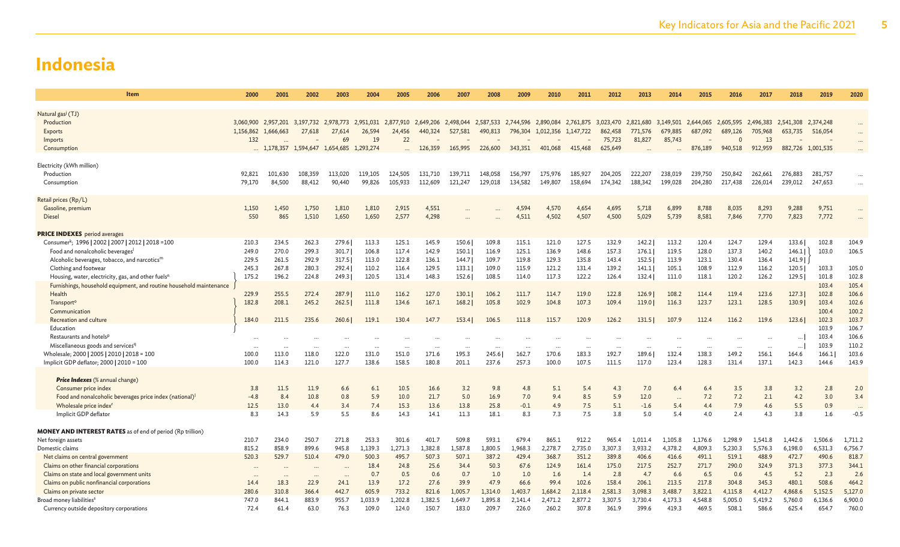| Item                                                                                    | 2000      | 2001      | 2002                                                                                                                              | 2003                         | 2004      | 2005    | 2006    | 2007    | 2008    | 2009    | 2010      | 2011      | 2012     | 2013      | 2014     | 2015                          | 2016     | 2017                | 2018              | 2019                     | 2020     |
|-----------------------------------------------------------------------------------------|-----------|-----------|-----------------------------------------------------------------------------------------------------------------------------------|------------------------------|-----------|---------|---------|---------|---------|---------|-----------|-----------|----------|-----------|----------|-------------------------------|----------|---------------------|-------------------|--------------------------|----------|
|                                                                                         |           |           |                                                                                                                                   |                              |           |         |         |         |         |         |           |           |          |           |          |                               |          |                     |                   |                          |          |
| Natural gas <sup>J</sup> (TJ)<br>Production                                             |           |           | 3,060,900 2,957,201 3,197,732 2,978,773 2,951,031 2,877,910 2,649,206 2,498,044 2,587,533 2,744,596 2,890,084 2,761,875 3,023,470 |                              |           |         |         |         |         |         |           |           |          | 2,821,680 |          | 3,149,501 2,644,065 2,605,595 |          | 2.496.383 2.541.308 |                   | 2.374.248                |          |
| Exports                                                                                 | 1,156,862 | 1,666,663 | 27,618                                                                                                                            | 27,614                       | 26,594    | 24,456  | 440,324 | 527,581 | 490,813 | 796,304 | 1,012,356 | 1,147,722 | 862,458  | 771,576   | 679,885  | 687,092                       | 689,126  | 705,968             | 653,735           | 516,054                  |          |
| Imports                                                                                 | 132       |           |                                                                                                                                   | 69                           | 19        | 22      |         |         |         |         |           |           | 75,723   | 81,827    | 85,743   |                               | $\Omega$ | 13                  |                   | $\overline{\phantom{0}}$ |          |
| Consumption                                                                             |           | 1,178,357 | 1,594,647                                                                                                                         | 1,654,685                    | 1,293,274 |         | 126,359 | 165,995 | 226,600 | 343,351 | 401,068   | 415,468   | 625,649  |           |          | 876,189                       | 940,518  | 912,959             | 882,726 1,001,535 |                          |          |
|                                                                                         |           |           |                                                                                                                                   |                              |           |         |         |         |         |         |           |           |          |           |          |                               |          |                     |                   |                          |          |
| Electricity (kWh million)                                                               |           |           |                                                                                                                                   |                              |           |         |         |         |         |         |           |           |          |           |          |                               |          |                     |                   |                          |          |
| Production                                                                              | 92.821    | 101.630   | 108,359                                                                                                                           | 113,020                      | 119,105   | 124,505 | 131,710 | 139.711 | 148,058 | 156,797 | 175,976   | 185,927   | 204,205  | 222,207   | 238,019  | 239,750                       | 250,842  | 262,661             | 276,883           | 281,757                  |          |
| Consumption                                                                             | 79.170    | 84,500    | 88,412                                                                                                                            | 90,440                       | 99,826    | 105,933 | 112,609 | 121,247 | 129,018 | 134,582 | 149,807   | 158,694   | 174,342  | 188,342   | 199,028  | 204,280                       | 217,438  | 226,014             | 239,012           | 247,653                  |          |
| Retail prices (Rp/L)                                                                    |           |           |                                                                                                                                   |                              |           |         |         |         |         |         |           |           |          |           |          |                               |          |                     |                   |                          |          |
| Gasoline, premium                                                                       | 1.150     | 1.450     | 1,750                                                                                                                             | 1,810                        | 1,810     | 2,915   | 4,551   |         |         | 4.594   | 4,570     | 4,654     | 4,695    | 5,718     | 6,899    | 8,788                         | 8,035    | 8,293               | 9,288             | 9,751                    | $\cdots$ |
| Diesel                                                                                  | 550       | 865       | 1,510                                                                                                                             | 1,650                        | 1,650     | 2,577   | 4,298   |         |         | 4,511   | 4,502     | 4,507     | 4,500    | 5,029     | 5,739    | 8,581                         | 7,846    | 7,770               | 7,823             | 7,772                    |          |
| <b>PRICE INDEXES</b> period averages                                                    |           |           |                                                                                                                                   |                              |           |         |         |         |         |         |           |           |          |           |          |                               |          |                     |                   |                          |          |
| Consumer <sup>k</sup> ; 1996   2002   2007   2012   2018 = 100                          | 210.3     | 234.5     | 262.3                                                                                                                             | 279.6                        | 113.3     | 125.1   | 145.9   | 150.6   | 109.8   | 115.1   | 121.0     | 127.5     | 132.9    | 142.2     | 113.2    | 120.4                         | 124.7    | 129.4               | 133.6             | 102.8                    | 104.9    |
| Food and nonalcoholic beverages                                                         | 249.0     | 270.0     | 299.3                                                                                                                             | 301.7                        | 106.8     | 117.4   | 142.9   | 150.1   | 116.9   | 125.1   | 136.9     | 148.6     | 157.3    | 176.1     | 119.5    | 128.0                         | 137.3    | 140.2               | 146.1             | 103.0                    | 106.5    |
| Alcoholic beverages, tobacco, and narcotics <sup>m</sup>                                | 229.5     | 261.5     | 292.9                                                                                                                             | 317.5                        | 113.0     | 122.8   | 136.1   | 144.7   | 109.7   | 119.8   | 129.3     | 135.8     | 143.4    | 152.5     | 113.9    | 123.1                         | 130.4    | 136.4               | 141.9             |                          |          |
| Clothing and footwear                                                                   | 245.3     | 267.8     | 280.3                                                                                                                             | 292.4                        | 110.2     | 116.4   | 129.5   | 133.1   | 109.0   | 115.9   | 121.2     | 131.4     | 139.2    | 141.1     | 105.1    | 108.9                         | 112.9    | 116.2               | 120.5             | 103.3                    | 105.0    |
| Housing, water, electricity, gas, and other fuels <sup>n</sup>                          | 175.2     | 196.2     | 224.8                                                                                                                             | 249.3                        | 120.5     | 131.4   | 148.3   | 152.6   | 108.5   | 114.0   | 117.3     | 122.2     | 126.4    | 132.4     | 111.0    | 118.1                         | 120.2    | 126.2               | 129.5             | 101.8                    | 102.8    |
| Furnishings, household equipment, and routine household maintenance                     |           |           |                                                                                                                                   |                              |           |         |         |         |         |         |           |           |          |           |          |                               |          |                     |                   | 103.4                    | 105.4    |
| Health                                                                                  | 229.9     | 255.5     | 272.4                                                                                                                             | 287.9                        | 111.0     | 116.2   | 127.0   | 130.1   | 106.2   | 111.7   | 114.7     | 119.0     | 122.8    | 126.9     | 108.2    | 114.4                         | 119.4    | 123.6               | 127.3             | 102.8                    | 106.6    |
| Transport <sup>o</sup>                                                                  | 182.8     | 208.1     | 245.2                                                                                                                             | 262.5                        | 111.8     | 134.6   | 167.1   | 168.2   | 105.8   | 102.9   | 104.8     | 107.3     | 109.4    | 119.0     | 116.3    | 123.7                         | 123.1    | 128.5               | 130.9             | 103.4                    | 102.6    |
| Communication                                                                           |           |           |                                                                                                                                   |                              |           |         |         |         |         |         |           |           |          |           |          |                               |          |                     |                   | 100.4                    | 100.2    |
| Recreation and culture                                                                  | 184.0     | 211.5     | 235.6                                                                                                                             | 260.6                        | 119.1     | 130.4   | 147.7   | 153.4   | 106.5   | 111.8   | 115.7     | 120.9     | 126.2    | 131.5     | 107.9    | 112.4                         | 116.2    | 119.6               | 123.6             | 102.3                    | 103.7    |
| Education                                                                               |           |           |                                                                                                                                   |                              |           |         |         |         |         |         |           |           |          |           |          |                               |          |                     |                   | 103.9                    | 106.7    |
| Restaurants and hotels <sup>p</sup>                                                     |           |           |                                                                                                                                   |                              |           |         |         |         |         |         |           |           |          |           |          |                               |          |                     | $\ldots$          | 103.4                    | 106.6    |
| Miscellaneous goods and services <sup>q</sup>                                           |           | $\cdots$  |                                                                                                                                   |                              |           |         |         |         |         |         | $\cdots$  |           | $\cdots$ |           |          | $\cdot$ .                     | $\cdots$ | $\ddotsc$           | $\ldots$          | 103.9                    | 110.2    |
| Wholesale; 2000   2005   2010   2018 = 100                                              | 100.0     | 113.0     | 118.0                                                                                                                             | 122.0                        | 131.0     | 151.0   | 171.6   | 195.3   | 245.6   | 162.7   | 170.6     | 183.3     | 192.7    | 189.6     | 132.4    | 138.3                         | 149.2    | 156.1               | 164.6             | 166.1                    | 103.6    |
| Implicit GDP deflator; 2000   2010 = 100                                                | 100.0     | 114.3     | 121.0                                                                                                                             | 127.7                        | 138.6     | 158.5   | 180.8   | 201.1   | 237.6   | 257.3   | 100.0     | 107.5     | 111.5    | 117.0     | 123.4    | 128.3                         | 131.4    | 137.1               | 142.3             | 144.6                    | 143.9    |
| <b>Price Indexes</b> (% annual change)                                                  |           |           |                                                                                                                                   |                              |           |         |         |         |         |         |           |           |          |           |          |                               |          |                     |                   |                          |          |
| Consumer price index                                                                    | 3.8       | 11.5      | 11.9                                                                                                                              | 6.6                          | 6.1       | 10.5    | 16.6    | 3.2     | 9.8     | 4.8     | 5.1       | 5.4       | 4.3      | 7.0       | 6.4      | 6.4                           | 3.5      | 3.8                 | 3.2               | 2.8                      | 2.0      |
| Food and nonalcoholic beverages price index (national) <sup>1</sup>                     | $-4.8$    | 8.4       | 10.8                                                                                                                              | 0.8                          | 5.9       | 10.0    | 21.7    | 5.0     | 16.9    | 7.0     | 9.4       | 8.5       | 5.9      | 12.0      | $\cdots$ | 7.2                           | 7.2      | 2.1                 | 4.2               | 3.0                      | 3.4      |
| Wholesale price index <sup>1</sup>                                                      | 12.5      | 13.0      | 4.4                                                                                                                               | 3.4                          | 7.4       | 15.3    | 13.6    | 13.8    | 25.8    | $-0.1$  | 4.9       | 7.5       | 5.1      | $-1.6$    | 5.4      | 4.4                           | 7.9      | 4.6                 | 5.5               | 0.9                      | $\cdots$ |
| Implicit GDP deflator                                                                   | 8.3       | 14.3      | 5.9                                                                                                                               | 5.5                          | 8.6       | 14.3    | 14.1    | 11.3    | 18.1    | 8.3     | 7.3       | 7.5       | 3.8      | 5.0       | 5.4      | 4.0                           | 2.4      | 4.3                 | 3.8               | 1.6                      | $-0.5$   |
|                                                                                         |           |           |                                                                                                                                   |                              |           |         |         |         |         |         |           |           |          |           |          |                               |          |                     |                   |                          |          |
| <b>MONEY AND INTEREST RATES</b> as of end of period (Rp trillion)<br>Net foreign assets | 210.7     | 234.0     | 250.7                                                                                                                             | 271.8                        | 253.3     | 301.6   | 401.7   | 509.8   | 593.1   | 679.4   | 865.1     | 912.2     | 965.4    | 1,011.4   | 1,105.8  | 1,176.6                       | 1.298.9  | 1,541.8             | 1,442.6           | 1,506.6                  | 1,711.2  |
| Domestic claims                                                                         | 815.2     | 858.9     | 899.6                                                                                                                             | 945.8                        | 1,139.3   | 1,271.3 | 1,382.8 | 1,587.8 | 1,800.5 | 1,968.3 | 2,278.7   | 2,735.0   | 3,307.3  | 3,933.2   | 4,378.2  | 4,809.3                       | 5,230.3  | 5,576.3             | 6,198.0           | 6,531.3                  | 6,756.7  |
| Net claims on central government                                                        | 520.3     | 529.7     | 510.4                                                                                                                             | 479.0                        | 500.3     | 495.7   | 507.3   | 507.1   | 387.2   | 429.4   | 368.7     | 351.2     | 389.8    | 406.6     | 416.6    | 491.1                         | 519.1    | 488.9               | 472.7             | 490.6                    | 818.7    |
| Claims on other financial corporations                                                  |           |           |                                                                                                                                   |                              | 18.4      | 24.8    | 25.6    | 34.4    | 50.3    | 67.6    | 124.9     | 161.4     | 175.0    | 217.5     | 252.7    | 271.7                         | 290.0    | 324.9               | 371.3             | 377.3                    | 344.1    |
| Claims on state and local government units                                              | $\cdots$  | $\cdots$  |                                                                                                                                   |                              | 0.7       | 0.5     | 0.6     | 0.7     | 1.0     | 1.0     | 1.6       | 1.4       | 2.8      | 4.7       | 6.6      | 6.5                           | 0.6      | 4.5                 | 5.2               | 2.3                      | 2.6      |
| Claims on public nonfinancial corporations                                              | 14.4      | <br>18.3  | $\ddot{\phantom{a}}$<br>22.9                                                                                                      | $\ddot{\phantom{a}}$<br>24.1 | 13.9      | 17.2    | 27.6    | 39.9    | 47.9    | 66.6    | 99.4      | 102.6     | 158.4    | 206.1     | 213.5    | 217.8                         | 304.8    | 345.3               | 480.1             | 508.6                    | 464.2    |
| Claims on private sector                                                                | 280.6     | 310.8     | 366.4                                                                                                                             | 442.7                        | 605.9     | 733.2   | 821.6   | 1.005.7 | 1.314.0 | 1.403.7 | 1,684.2   | 2.118.4   | 2.581.3  | 3.098.3   | 3.488.7  | 3.822.1                       | 4,115.8  | 4,412.7             | 4,868.6           | 5,152.5                  | 5,127.0  |
| Broad money liabilities <sup>s</sup>                                                    | 747.0     | 844.1     | 883.9                                                                                                                             | 955.7                        | 1,033.9   | 1,202.8 | 1,382.5 | 1,649.7 | 1,895.8 | 2,141.4 | 2,471.2   | 2,877.2   | 3,307.5  | 3,730.4   | 4,173.3  | 4,548.8                       | 5,005.0  | 5,419.2             | 5,760.0           | 6,136.6                  | 6,900.0  |
| Currency outside depository corporations                                                | 72.4      | 61.4      | 63.0                                                                                                                              | 76.3                         | 109.0     | 124.0   | 150.7   | 183.0   | 209.7   | 226.0   | 260.2     | 307.8     | 361.9    | 399.6     | 419.3    | 469.5                         | 508.1    | 586.6               | 625.4             | 654.7                    | 760.0    |
|                                                                                         |           |           |                                                                                                                                   |                              |           |         |         |         |         |         |           |           |          |           |          |                               |          |                     |                   |                          |          |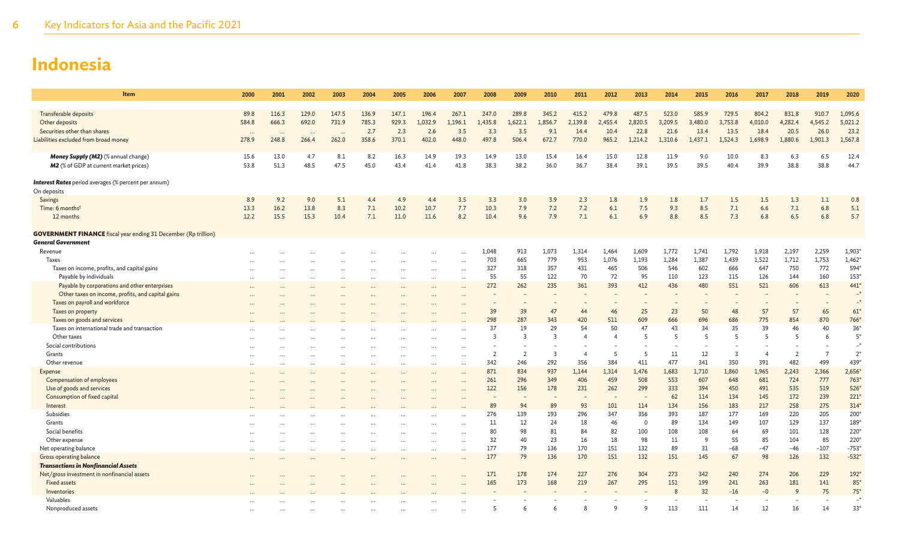| Item                                                                   | 2000     | 2001     | 2002     | 2003  | 2004  | 2005  | 2006      | 2007                 | 2008           | 2009           | 2010           | 2011           | 2012           | 2013     | 2014    | 2015           | 2016           | 2017           | 2018           | 2019           | 2020     |
|------------------------------------------------------------------------|----------|----------|----------|-------|-------|-------|-----------|----------------------|----------------|----------------|----------------|----------------|----------------|----------|---------|----------------|----------------|----------------|----------------|----------------|----------|
|                                                                        |          |          |          |       |       |       |           |                      |                |                |                |                |                |          |         |                |                |                |                |                |          |
| Transferable deposits                                                  | 89.8     | 116.3    | 129.0    | 147.5 | 136.9 | 147.1 | 196.4     | 267.1                | 247.0          | 289.8          | 345.2          | 415.2          | 479.8          | 487.5    | 523.0   | 585.9          | 729.5          | 804.2          | 831.8          | 910.7          | 1,095.6  |
| Other deposits                                                         | 584.8    | 666.3    | 692.0    | 731.9 | 785.3 | 929.3 | 1,032.9   | 1,196.1              | 1,435.8        | 1,622.1        | 1,856.7        | 2,139.8        | 2,455.4        | 2,820.5  | 3,209.5 | 3,480.0        | 3,753.8        | 4,010.0        | 4,282.4        | 4,545.2        | 5,021.2  |
| Securities other than shares                                           | $\cdots$ | $\cdots$ | $\cdots$ |       | 2.7   | 2.3   | 2.6       | 3.5                  | 3.3            | 3.5            | 9.1            | 14.4           | 10.4           | 22.8     | 21.6    | 13.4           | 13.5           | 18.4           | 20.5           | 26.0           | 23.2     |
| Liabilities excluded from broad money                                  | 278.9    | 248.8    | 266.4    | 262.0 | 358.6 | 370.1 | 402.0     | 448.0                | 497.8          | 506.4          | 672.7          | 770.0          | 965.2          | 1,214.2  | 1,310.6 | 1,437.1        | 1,524.3        | 1,698.9        | 1,880.6        | 1,901.3        | 1,567.8  |
| Money Supply (M2) (% annual change)                                    | 15.6     | 13.0     | 4.7      | 8.1   | 8.2   | 16.3  | 14.9      | 19.3                 | 14.9           | 13.0           | 15.4           | 16.4           | 15.0           | 12.8     | 11.9    | 9.0            | 10.0           | 8.3            | 6.3            | 6.5            | 12.4     |
| M2 (% of GDP at current market prices)                                 | 53.8     | 51.3     | 48.5     | 47.5  | 45.0  | 43.4  | 41.4      | 41.8                 | 38.3           | 38.2           | 36.0           | 36.7           | 38.4           | 39.1     | 39.5    | 39.5           | 40.4           | 39.9           | 38.8           | 38.8           | 44.7     |
| <b>Interest Rates</b> period averages (% percent per annum)            |          |          |          |       |       |       |           |                      |                |                |                |                |                |          |         |                |                |                |                |                |          |
| On deposits                                                            |          |          |          |       |       |       |           |                      |                |                |                |                |                |          |         |                |                |                |                |                |          |
| Savings                                                                | 8.9      | 9.2      | 9.0      | 5.1   | 4.4   | 4.9   | 4.4       | 3.5                  | 3.3            | 3.0            | 3.9            | 2.3            | 1.8            | 1.9      | 1.8     | 1.7            | 1.5            | 1.5            | 1.3            | 1.1            | 0.8      |
| Time: 6 monthst                                                        | 13.3     | 16.2     | 13.8     | 8.3   | 7.1   | 10.2  | 10.7      | 7.7                  | 10.3           | 7.9            | 7.2            | 7.2            | 6.1            | 7.5      | 9.3     | 8.5            | 7.1            | 6.6            | 7.1            | 6.8            | 5.1      |
| 12 months                                                              | 12.2     | 15.5     | 15.3     | 10.4  | 7.1   | 11.0  | 11.6      | 8.2                  | 10.4           | 9.6            | 7.9            | 7.1            | 6.1            | 6.9      | 8.8     | 8.5            | 7.3            | 6.8            | 6.5            | 6.8            | 5.7      |
| <b>GOVERNMENT FINANCE</b> fiscal year ending 31 December (Rp trillion) |          |          |          |       |       |       |           |                      |                |                |                |                |                |          |         |                |                |                |                |                |          |
| <b>General Government</b>                                              |          |          |          |       |       |       |           |                      |                |                |                |                |                |          |         |                |                |                |                |                |          |
| Revenue                                                                |          |          |          |       |       |       |           |                      | 1.048          | 913            | 1,073          | 1,314          | 1,464          | 1,609    | 1,772   | 1,741          | 1,792          | 1,918          | 2,197          | 2,259          | 1,903    |
| <b>Taxes</b>                                                           |          |          |          |       |       |       |           | $\ddotsc$            | 703            | 665            | 779            | 953            | 1,076          | 1,193    | 1,284   | 1,387          | 1,439          | 1,522          | 1,712          | 1,753          | $1,462*$ |
| Taxes on income, profits, and capital gains                            |          | $\cdots$ | $\cdots$ |       |       |       | $\cdots$  | $\cdots$             | 327            | 318            | 357            | 431            | 465            | 506      | 546     | 602            | 666            | 647            | 750            | 772            | 594*     |
| Payable by individuals                                                 |          |          | $\cdots$ |       |       |       | $\cdots$  |                      | 55             | 55             | 122            | 70             | 72             | 95       | 110     | 123            | 115            | 126            | 144            | 160            | 153*     |
| Payable by corporations and other enterprises                          |          |          | $\cdots$ |       |       |       | $\cdots$  | $\ddot{\phantom{a}}$ | 272            | 262            | 235            | 361            | 393            | 412      | 436     | 480            | 551            | 521            | 606            | 613            | 441*     |
| Other taxes on income, profits, and capital gains                      |          |          |          |       |       |       |           |                      |                |                |                |                |                |          |         |                |                |                |                |                | $-^*$    |
| Taxes on payroll and workforce                                         |          |          |          |       |       |       |           |                      |                |                |                |                |                |          |         |                |                |                |                |                | $-$ *    |
| Taxes on property                                                      |          |          |          |       |       |       |           |                      | 39             | 39             | 47             | 44             | 46             | 25       | 23      | 50             | 48             | 57             | 57             | 65             | $61*$    |
| Taxes on goods and services                                            |          |          |          |       |       |       |           |                      | 298            | 287            | 343            | 420            | 511            | 609      | 666     | 696            | 686            | 775            | 854            | 870            | 766*     |
| Taxes on international trade and transaction                           |          |          |          |       |       |       |           |                      | 37             | 19             | 29             | 54             | 50             | 47       | 43      | 34             | 35             | 39             | 46             | 40             | $36*$    |
| Other taxes                                                            |          |          |          |       |       |       |           |                      | $\mathbf{3}$   | $\overline{3}$ | 3              | $\overline{4}$ | $\overline{4}$ | 5        | 5       | -5             | $\overline{5}$ | $\overline{5}$ | 5              | 6              | $5*$     |
| Social contributions                                                   |          |          |          |       |       |       |           |                      |                |                |                |                |                |          |         |                |                |                |                |                | $-$ *    |
| Grants                                                                 |          |          |          |       |       |       |           |                      | $\overline{2}$ | 2              | $\overline{3}$ | $\overline{4}$ | 5              | 5        | 11      | 12             | $\overline{3}$ | $\overline{4}$ | $\overline{2}$ | $\overline{7}$ | $2^*$    |
| Other revenue                                                          |          |          |          |       |       |       |           |                      | 342            | 246            | 292            | 356            | 384            | 411      | 477     | 341            | 350            | 391            | 482            | 499            | 439*     |
| Expense                                                                |          |          |          |       |       |       |           |                      | 871            | 834            | 937            | 1,144          | 1,314          | 1,476    | 1,683   | 1,710          | 1,860          | 1,965          | 2,243          | 2,366          | $2,656*$ |
| Compensation of employees                                              |          |          |          |       |       |       |           |                      | 261            | 296            | 349            | 406            | 459            | 508      | 553     | 607            | 648            | 681            | 724            | 777            | 763*     |
| Use of goods and services                                              |          |          |          |       |       |       |           |                      | 122            | 156            | 178            | 231            | 262            | 299      | 333     | 394            | 450            | 491            | 535            | 519            | 526      |
| Consumption of fixed capital                                           |          |          |          |       |       |       |           |                      |                |                |                |                |                |          | 62      | 114            | 134            | 145            | 172            | 239            | 221'     |
| Interest                                                               |          |          |          |       |       |       |           |                      | 89             | 94             | 89             | 93             | 101            | 114      | 134     | 156            | 183            | 217            | 258            | 275            | $314*$   |
| Subsidies                                                              |          |          |          |       |       |       |           |                      | 276            | 139            | 193            | 296            | 347            | 356      | 393     | 187            | 177            | 169            | 220            | 205            | 200*     |
| Grants                                                                 |          |          |          |       |       |       |           |                      | 11             | 12             | 24             | 18             | 46             | $\Omega$ | 89      | 134            | 149            | 107            | 129            | 137            | 189*     |
| Social benefits                                                        |          |          |          |       |       |       |           |                      | 80             | 98             | 81             | 84             | 82             | 100      | 108     | 108            | 64             | 69             | 101            | 128            | 220*     |
| Other expense                                                          |          |          |          |       |       |       |           |                      | 32             | 40             | 23             | 16             | 18             | 98       | 11      | $\overline{9}$ | 55             | 85             | 104            | 85             | 220*     |
| Net operating balance                                                  |          |          | $\cdots$ |       |       |       | $\cdots$  |                      | 177            | 79             | 136            | 170            | 151            | 132      | 89      | 31             | -68            | $-47$          | $-46$          | $-107$         | $-753*$  |
| <b>Gross operating balance</b>                                         |          |          |          |       |       |       | $\ddotsc$ |                      | 177            | 79             | 136            | 170            | 151            | 132      | 151     | 145            | 67             | 98             | 126            | 132            | $-532*$  |
| <b>Transactions in Nonfinancial Assets</b>                             |          |          |          |       |       |       |           |                      |                |                |                |                |                |          |         |                |                |                |                |                |          |
| Net/gross investment in nonfinancial assets                            |          |          |          |       |       |       |           |                      | 171            | 178            | 174            | 227            | 276            | 304      | 273     | 342            | 240            | 274            | 206            | 229            | 192*     |
| <b>Fixed assets</b>                                                    |          |          |          |       |       |       |           |                      | 165            | 173            | 168            | 219            | 267            | 295      | 151     | 199            | 241            | 263            | 181            | 141            | $85*$    |
| Inventories                                                            |          |          |          |       |       |       |           |                      |                |                |                |                |                |          |         | 32             | $-16$          | $-0$           | 9              | 75             | $75*$    |
| Valuables                                                              |          |          |          |       |       |       |           |                      |                |                |                |                |                |          |         |                |                |                |                |                |          |
| Nonproduced assets                                                     |          |          |          |       |       |       |           |                      | -5             |                | 6              | 8              | q              | q        | 113     | 111            | 14             | 12             | 16             | 14             | $33*$    |
|                                                                        |          |          |          |       |       |       |           |                      |                |                |                |                |                |          |         |                |                |                |                |                |          |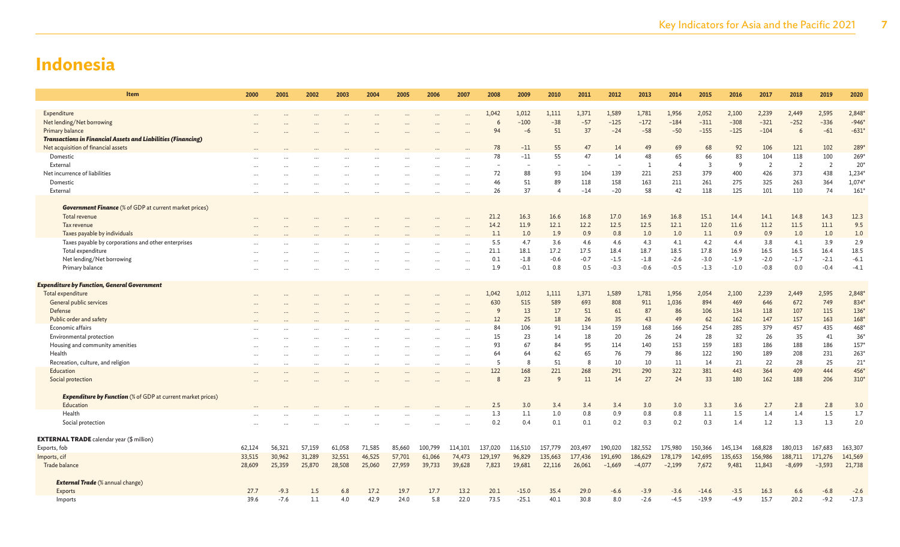| <b>Item</b>                                                         | 2000   | 2001     | 2002      | 2003   | 2004     | 2005   | 2006     | 2007      | 2008    | 2009    | 2010                   | 2011    | 2012     | 2013     | 2014           | 2015           | 2016    | 2017           | 2018           | 2019           | 2020         |
|---------------------------------------------------------------------|--------|----------|-----------|--------|----------|--------|----------|-----------|---------|---------|------------------------|---------|----------|----------|----------------|----------------|---------|----------------|----------------|----------------|--------------|
| Expenditure                                                         |        |          |           |        |          |        |          |           | 1.042   | 1,012   | 1,111                  | 1,371   | 1,589    | 1,781    | 1,956          | 2,052          | 2,100   | 2,239          | 2,449          | 2,595          | 2,848        |
| Net lending/Net borrowing                                           |        |          |           |        |          |        |          |           | 6       | $-100$  | $-38$                  | $-57$   | $-125$   | $-172$   | $-184$         | $-311$         | $-308$  | $-321$         | $-252$         | $-336$         | $-946*$      |
| Primary balance                                                     |        |          |           |        |          |        |          |           | 94      | $-6$    | 51                     | 37      | $-24$    | $-58$    | $-50$          | $-155$         | $-125$  | $-104$         | 6              | $-61$          | $-631*$      |
| <b>Transactions in Financial Assets and Liabilities (Financing)</b> |        |          |           |        |          |        |          |           |         |         |                        |         |          |          |                |                |         |                |                |                |              |
| Net acquisition of financial assets                                 |        |          |           |        |          |        |          |           | 78      | $-11$   | 55                     | 47      | 14       | 49       | 69             | 68             | 92      | 106            | 121            | 102            | 289          |
| Domestic                                                            |        |          |           |        |          |        |          |           | 78      | $-11$   | 55                     | 47      | 14       | 48       | 65             | 66             | 83      | 104            | 118            | 100            | 269          |
| External                                                            |        |          |           |        |          |        |          |           |         |         |                        |         | $\sim$   |          | $\overline{4}$ | $\overline{3}$ | q       | $\overline{2}$ | $\overline{2}$ | $\overline{2}$ | $20^{\circ}$ |
| Net incurrence of liabilities                                       |        |          |           |        |          |        |          |           | 72      | 88      | 93                     | 104     | 139      | 221      | 253            | 379            | 400     | 426            | 373            | 438            | $1,234*$     |
| Domestic                                                            |        |          |           |        |          |        |          |           | 46      | 51      | 89                     | 118     | 158      | 163      | 211            | 261            | 275     | 325            | 263            | 364            | $1,074*$     |
| External                                                            |        |          |           |        |          |        |          |           | 26      | 37      | $\boldsymbol{\Lambda}$ | $-14$   | $-20$    | 58       | 42             | 118            | 125     | 101            | 110            | 74             | 161'         |
|                                                                     |        |          |           |        |          |        |          |           |         |         |                        |         |          |          |                |                |         |                |                |                |              |
| <b>Government Finance</b> (% of GDP at current market prices)       |        |          |           |        |          |        |          |           |         |         |                        |         |          |          |                |                |         |                |                |                |              |
| Total revenue                                                       |        |          |           |        |          |        |          |           | 21.2    | 16.3    | 16.6                   | 16.8    | 17.0     | 16.9     | 16.8           | 15.1           | 14.4    | 14.1           | 14.8           | 14.3           | 12.3         |
| Tax revenue                                                         |        |          |           |        |          |        |          |           | 14.2    | 11.9    | 12.1                   | 12.2    | 12.5     | 12.5     | 12.1           | 12.0           | 11.6    | 11.2           | 11.5           | 11.1           | 9.5          |
| Taxes payable by individuals                                        |        |          |           |        |          |        |          |           | 1.1     | 1.0     | 1.9                    | 0.9     | 0.8      | 1.0      | 1.0            | 1.1            | 0.9     | 0.9            | 1.0            | 1.0            | 1.0          |
| Taxes payable by corporations and other enterprises                 |        |          |           |        |          |        |          |           | 5.5     | 4.7     | 3.6                    | 4.6     | 4.6      | 4.3      | 4.1            | 4.2            | 4.4     | 3.8            | 4.1            | 3.9            | 2.9          |
| Total expenditure                                                   |        |          |           |        |          |        |          |           | 21.1    | 18.1    | 17.2                   | 17.5    | 18.4     | 18.7     | 18.5           | 17.8           | 16.9    | 16.5           | 16.5           | 16.4           | 18.5         |
| Net lending/Net borrowing                                           |        |          |           |        |          |        |          |           | 0.1     | $-1.8$  | $-0.6$                 | $-0.7$  | $-1.5$   | $-1.8$   | $-2.6$         | $-3.0$         | $-1.9$  | $-2.0$         | $-1.7$         | $-2.1$         | $-6.1$       |
| Primary balance                                                     |        |          |           |        |          |        |          |           | 1.9     | $-0.1$  | 0.8                    | 0.5     | $-0.3$   | $-0.6$   | $-0.5$         | $-1.3$         | $-1.0$  | $-0.8$         | 0.0            | $-0.4$         | $-4.1$       |
| <b>Expenditure by Function, General Government</b>                  |        |          |           |        |          |        |          |           |         |         |                        |         |          |          |                |                |         |                |                |                |              |
| Total expenditure                                                   |        |          |           |        |          |        |          |           | 1,042   | 1,012   | 1,111                  | 1,371   | 1,589    | 1,781    | 1,956          | 2,054          | 2,100   | 2,239          | 2,449          | 2,595          | 2,848        |
| General public services                                             |        |          |           |        |          |        |          |           | 630     | 515     | 589                    | 693     | 808      | 911      | 1,036          | 894            | 469     | 646            | 672            | 749            | 834          |
| Defense                                                             |        |          |           |        |          |        |          |           | 9       | 13      | 17                     | 51      | 61       | 87       | 86             | 106            | 134     | 118            | 107            | 115            | $136*$       |
| Public order and safety                                             |        |          |           |        |          |        |          |           | 12      | 25      | 18                     | 26      | 35       | 43       | 49             | 62             | 162     | 147            | 157            | 163            | $168*$       |
| Economic affairs                                                    |        |          |           |        |          |        |          |           | 84      | 106     | 91                     | 134     | 159      | 168      | 166            | 254            | 285     | 379            | 457            | 435            | 468*         |
| Environmental protection                                            |        |          |           |        |          |        |          |           | 15      | 23      | 14                     | 18      | 20       | 26       | 24             | 28             | 32      | 26             | 35             | 41             | $36*$        |
| Housing and community amenities                                     |        |          |           |        |          |        |          |           | 93      | 67      | 84                     | 95      | 114      | 140      | 153            | 159            | 183     | 186            | 188            | 186            | $157*$       |
| Health                                                              |        |          |           |        |          |        | $\cdots$ | $\ddotsc$ | 64      | 64      | 62                     | 65      | 76       | 79       | 86             | 122            | 190     | 189            | 208            | 231            | $263*$       |
| Recreation, culture, and religion                                   |        | $\cdots$ | $\ddotsc$ |        | $\cdots$ |        | $\cdots$ | $\cdots$  | 5       | 8       | 51                     | -8      | 10       | 10       | 11             | 14             | 21      | 22             | 28             | 25             | $21*$        |
| Education                                                           |        |          |           |        |          |        |          |           | 122     | 168     | 221                    | 268     | 291      | 290      | 322            | 381            | 443     | 364            | 409            | 444            | 456*         |
| Social protection                                                   |        |          |           |        |          |        |          |           | 8       | 23      | 9                      | 11      | 14       | 27       | 24             | 33             | 180     | 162            | 188            | 206            | $310*$       |
| <b>Expenditure by Function</b> (% of GDP at current market prices)  |        |          |           |        |          |        |          |           |         |         |                        |         |          |          |                |                |         |                |                |                |              |
| Education                                                           |        |          |           |        |          |        |          |           | 2.5     | 3.0     | 3.4                    | 3.4     | 3.4      | 3.0      | 3.0            | 3.3            | 3.6     | 2.7            | 2.8            | 2.8            | 3.0          |
| Health                                                              |        |          |           |        |          |        |          |           | 1.3     | 1.1     | 1.0                    | 0.8     | 0.9      | 0.8      | 0.8            | 1.1            | 1.5     | 1.4            | 1.4            | 1.5            | 1.7          |
| Social protection                                                   |        |          |           |        |          |        |          |           | 0.2     | 0.4     | 0.1                    | 0.1     | 0.2      | 0.3      | 0.2            | 0.3            | 1.4     | 1.2            | 1.3            | 1.3            | 2.0          |
|                                                                     |        |          |           |        |          |        |          |           |         |         |                        |         |          |          |                |                |         |                |                |                |              |
| <b>EXTERNAL TRADE</b> calendar year (\$ million)                    |        |          |           |        |          |        |          |           |         |         |                        |         |          |          |                |                |         |                |                |                |              |
| Exports, fob                                                        | 62,124 | 56,321   | 57,159    | 61,058 | 71,585   | 85,660 | 100,799  | 114,101   | 137,020 | 116,510 | 157,779                | 203,497 | 190,020  | 182,552  | 175,980        | 150,366        | 145,134 | 168,828        | 180,013        | 167,683        | 163,307      |
| Imports, cif                                                        | 33,515 | 30,962   | 31,289    | 32,551 | 46,525   | 57,701 | 61,066   | 74,473    | 129,197 | 96,829  | 135,663                | 177,436 | 191,690  | 186,629  | 178,179        | 142,695        | 135,653 | 156,986        | 188,711        | 171,276        | 141,569      |
| Trade balance                                                       | 28,609 | 25,359   | 25,870    | 28,508 | 25,060   | 27,959 | 39,733   | 39,628    | 7,823   | 19,681  | 22,116                 | 26,061  | $-1,669$ | $-4,077$ | $-2,199$       | 7,672          | 9,481   | 11,843         | $-8,699$       | $-3,593$       | 21,738       |
| <b>External Trade</b> (% annual change)                             |        |          |           |        |          |        |          |           |         |         |                        |         |          |          |                |                |         |                |                |                |              |
| <b>Exports</b>                                                      | 27.7   | $-9.3$   | 1.5       | 6.8    | 17.2     | 19.7   | 17.7     | 13.2      | 20.1    | $-15.0$ | 35.4                   | 29.0    | $-6.6$   | $-3.9$   | $-3.6$         | $-14.6$        | $-3.5$  | 16.3           | 6.6            | $-6.8$         | $-2.6$       |
| Imports                                                             | 39.6   | $-7.6$   | 1.1       | 4.0    | 42.9     | 24.0   | 5.8      | 22.0      | 73.5    | $-25.1$ | 40.1                   | 30.8    | 8.0      | $-2.6$   | $-4.5$         | $-19.9$        | $-4.9$  | 15.7           | 20.2           | $-9.2$         | $-17.3$      |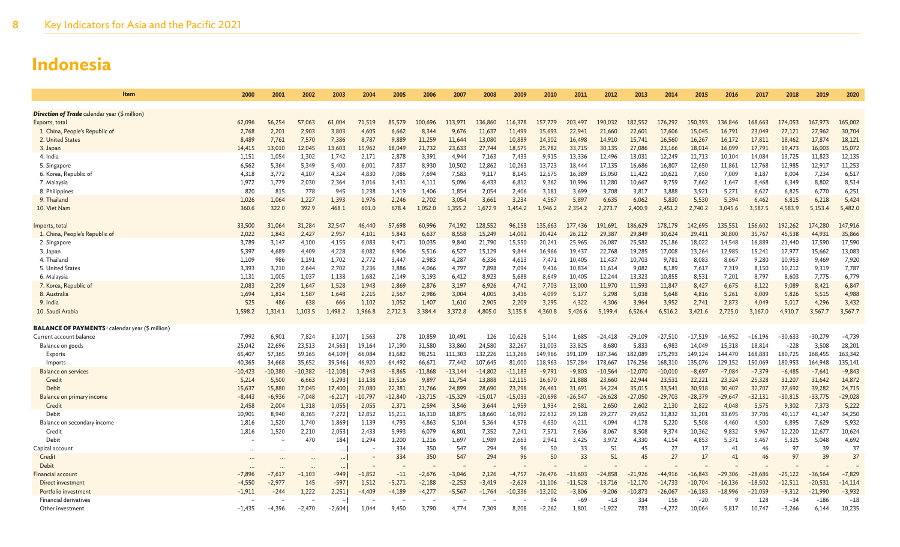| ltem                                                               | 2000            | 2001           | 2002           | 2003           | 2004            | 2005            | 2006            | 2007            | 2008             | 2009             | 2010             | 2011             | 2012             | 2013             | 2014             | 2015             | 2016             | 2017             | 2018             | 2019             | 2020              |
|--------------------------------------------------------------------|-----------------|----------------|----------------|----------------|-----------------|-----------------|-----------------|-----------------|------------------|------------------|------------------|------------------|------------------|------------------|------------------|------------------|------------------|------------------|------------------|------------------|-------------------|
|                                                                    |                 |                |                |                |                 |                 |                 |                 |                  |                  |                  |                  |                  |                  |                  |                  |                  |                  |                  |                  |                   |
| <b>Direction of Trade</b> calendar year (\$ million)               | 62.096          |                |                |                |                 |                 | 100.696         |                 | 136,860          | 116,378          |                  |                  | 190.032          | 182.552          |                  | 150,393          | 136,846          | 168,663          |                  | 167,973          | 165,002           |
| Exports, total                                                     |                 | 56.254         | 57,063         | 61,004         | 71,519          | 85,579          |                 | 113,971         |                  |                  | 157,779          | 203,497          |                  |                  | 176,292          |                  |                  |                  | 174,053          |                  |                   |
| 1. China, People's Republic of<br>2. United States                 | 2,768<br>8,489  | 2,201<br>7,761 | 2,903<br>7,570 | 3,803<br>7,386 | 4,605<br>8,787  | 6,662<br>9,889  | 8,344<br>11,259 | 9,676<br>11,644 | 11,637<br>13,080 | 11,499<br>10,889 | 15,693<br>14,302 | 22,941<br>16,498 | 21,660<br>14,910 | 22,601<br>15,741 | 17,606<br>16,560 | 15,045<br>16,267 | 16,791<br>16,172 | 23,049<br>17,811 | 27,121<br>18,462 | 27,962<br>17,874 | 30,704<br>18,121  |
| 3. Japan                                                           | 14.415          | 13,010         | 12.045         | 13,603         | 15,962          | 18,049          | 21,732          | 23,633          | 27,744           | 18,575           | 25,782           | 33,715           | 30,135           | 27,086           | 23,166           | 18,014           | 16,099           | 17.791           | 19,473           | 16,003           | 15,072            |
| 4. India                                                           | 1,151           | 1,054          | 1,302          | 1,742          | 2,171           | 2,878           | 3,391           | 4,944           | 7,163            | 7,433            | 9,915            | 13,336           | 12,496           | 13,031           | 12,249           | 11,713           | 10,104           | 14,084           | 13,725           | 11,823           | 12,135            |
| 5. Singapore                                                       | 6.562           | 5,364          | 5,349          | 5,400          | 6,001           | 7,837           | 8,930           | 10,502          | 12,862           | 10,263           | 13,723           | 18,444           | 17,135           | 16,686           | 16,807           | 12,650           | 11,861           | 12,768           | 12,985           | 12,917           | 11,253            |
| 6. Korea, Republic of                                              | 4,318           | 3,772          | 4,107          | 4,324          | 4,830           | 7,086           | 7,694           | 7,583           | 9,117            | 8,145            | 12,575           | 16,389           | 15,050           | 11,422           | 10,621           | 7,650            | 7,009            | 8,187            | 8,004            | 7,234            | 6,517             |
| 7. Malaysia                                                        | 1,972           | 1,779          | 2,030          | 2,364          | 3,016           | 3,431           | 4,111           | 5,096           | 6,433            | 6,812            | 9,362            | 10,996           | 11,280           | 10,667           | 9,759            | 7,662            | 1,647            | 8,468            | 6,349            | 8,802            | 8,514             |
| 8. Philippines                                                     | 820             | 815            | 778            | 945            | 1,238           | 1,419           | 1,406           | 1,854           | 2,054            | 2,406            | 3,181            | 3,699            | 3,708            | 3,817            | 3,888            | 3,921            | 5,271            | 6,627            | 6,825            | 6,770            | 6,251             |
| 9. Thailand                                                        | 1,026           | 1,064          | 1,227          | 1,393          | 1,976           | 2,246           | 2,702           | 3,054           | 3,661            | 3,234            | 4,567            | 5,897            | 6,635            | 6,062            | 5,830            | 5,530            | 5,394            | 6,462            | 6,815            | 6,218            | 5,424             |
| 10. Viet Nam                                                       | 360.6           | 322.0          | 392.9          | 468.1          | 601.0           | 678.4           | 1,052.0         | 1,355.2         | 1.672.9          | 1,454.2          | 1,946.2          | 2.354.2          | 2,273.7          | 2,400.9          | 2,451.2          | 2.740.2          | 3.045.6          | 3,587.5          | 4,583.9          | 5,153.4          | 5,482.0           |
|                                                                    |                 |                |                |                |                 |                 |                 |                 |                  |                  |                  |                  |                  |                  |                  |                  |                  |                  |                  |                  |                   |
| Imports, total                                                     | 33,500<br>2,022 | 31,064         | 31,284         | 32,547         | 46,440          | 57,698          | 60,996          | 74,192          | 128,552          | 96,158           | 135,663          | 177,436          | 191.691          | 186,629          | 178,179          | 142,695          | 135,551          | 156,602          | 192,262          | 174,280          | 147,916<br>35,866 |
| 1. China, People's Republic of<br>2. Singapore                     | 3,789           | 1,843<br>3,147 | 2,427<br>4,100 | 2,957<br>4,155 | 4,101<br>6,083  | 5,843<br>9,471  | 6,637<br>10,035 | 8,558<br>9,840  | 15,249<br>21,790 | 14,002<br>15,550 | 20,424<br>20,241 | 26,212<br>25,965 | 29,387<br>26,087 | 29,849<br>25,582 | 30,624<br>25,186 | 29,411<br>18,022 | 30,800<br>14,548 | 35,767<br>16,889 | 45,538<br>21,440 | 44,931<br>17.590 | 17,590            |
| 3. Japan                                                           | 5,397           | 4,689          | 4,409          | 4,228          | 6,082           | 6,906           | 5,516           | 6,527           | 15,129           | 9,844            | 16,966           | 19,437           | 22,768           | 19,285           | 17,008           | 13,264           | 12,985           | 15,241           | 17,977           | 15,662           | 13,083            |
| 4. Thailand                                                        | 1,109           | 986            | 1,191          | 1,702          | 2,772           | 3,447           | 2,983           | 4,287           | 6,336            | 4,613            | 7,471            | 10,405           | 11,437           | 10,703           | 9,781            | 8,083            | 8,667            | 9,280            | 10,953           | 9,469            | 7,920             |
| 5. United States                                                   | 3.393           | 3,210          | 2,644          | 2,702          | 3,236           | 3,886           | 4.066           | 4,797           | 7,898            | 7,094            | 9.416            | 10,834           | 11,614           | 9.082            | 8.189            | 7,617            | 7,319            | 8,150            | 10,212           | 9,319            | 7,787             |
| 6. Malaysia                                                        | 1,131           | 1,005          | 1,037          | 1,138          | 1,682           | 2,149           | 3,193           | 6,412           | 8,923            | 5,688            | 8,649            | 10,405           | 12,244           | 13,323           | 10,855           | 8,531            | 7,201            | 8,797            | 8,603            | 7,775            | 6,779             |
| 7. Korea, Republic of                                              | 2,083           | 2,209          | 1,647          | 1.528          | 1,943           | 2,869           | 2,876           | 3,197           | 6.926            | 4,742            | 7,703            | 13,000           | 11,970           | 11,593           | 11,847           | 8,427            | 6,675            | 8.122            | 9,089            | 8,421            | 6,847             |
| 8. Australia                                                       | 1,694           | 1,814          | 1,587          | 1,648          | 2,215           | 2,567           | 2,986           | 3,004           | 4,005            | 3,436            | 4,099            | 5,177            | 5,298            | 5,038            | 5,648            | 4,816            | 5,261            | 6,009            | 5,826            | 5,515            | 4,988             |
| 9. India                                                           | 525             | 486            | 638            | 666            | 1,102           | 1.052           | 1,407           | 1,610           | 2,905            | 2,209            | 3,295            | 4,322            | 4,306            | 3.964            | 3,952            | 2,741            | 2,873            | 4,049            | 5,017            | 4,296            | 3,432             |
| 10. Saudi Arabia                                                   | 1,598.2         | 1,314.1        | 1,103.5        | 1,498.2        | 1,966.8         | 2,712.3         | 3,384.4         | 3,372.8         | 4,805.0          | 3,135.8          | 4,360.8          | 5,426.6          | 5,199.4          | 6,526.4          | 6,516.2          | 3,421.6          | 2,725.0          | 3,167.0          | 4,910.7          | 3,567.7          | 3,567.7           |
| <b>BALANCE OF PAYMENTS</b> <sup>u</sup> calendar year (\$ million) |                 |                |                |                |                 |                 |                 |                 |                  |                  |                  |                  |                  |                  |                  |                  |                  |                  |                  |                  |                   |
| Current account balance                                            | 7.992           | 6,901          | 7,824          | 8,107          | 1,563           | 278             | 10,859          | 10,491          | 126              | 10,628           | 5,144            | 1,685            | $-24,418$        | $-29.109$        | -27,510          | $-17.519$        | $-16.952$        | $-16,196$        | $-30,633$        | $-30.279$        | $-4,739$          |
| Balance on goods                                                   | 25.042          | 22,696         | 23,513         | 24,563         | 19,164          | 17.190          | 31,580          | 33,860          | 24,580           | 32,267           | 31,003           | 33,825           | 8,680            | 5,833            | 6,983            | 14.049           | 15,318           | 18,814           | $-228$           | 3,508            | 28,201            |
| Exports                                                            | 65,407          | 57,365         | 59,165         | 64,109         | 66,084          | 81,682          | 98,251          | 111,303         | 132,226          | 113,266          | 149,966          | 191,109          | 187,346          | 182,089          | 175,293          | 149,124          | 144,470          | 168,883          | 180,725          | 168,455          | 163,342           |
| Imports                                                            | 40,365          | 34,668         | 35,652         | 39,546         | 46,920          | 64,492          | 66,671          | 77,442          | 107.645          | 81,000           | 118,963          | 157,284          | 178,667          | 176,256          | 168,310          | 135,076          | 129,152          | 150,069          | 180,953          | 164,948          | 135,141           |
| <b>Balance on services</b>                                         | $-10,423$       | $-10,380$      | $-10,382$      | $-12,108$      | $-7,943$        | $-8,865$        | $-11,868$       | $-13,144$       | $-14,802$        | $-11,183$        | $-9,791$         | $-9,803$         | $-10,564$        | $-12,070$        | $-10,010$        | $-8,697$         | $-7,084$         | $-7,379$         | $-6,485$         | $-7,641$         | $-9,843$          |
| Credit                                                             | 5,214           | 5,500          | 6,663          | 5,293          | 13,138          | 13.516          | 9,897           | 11,754          | 13,888           | 12,115           | 16,670           | 21,888           | 23,660           | 22,944           | 23,531           | 22,221           | 23,324           | 25,328           | 31,207           | 31,642           | 14,872            |
| Debit                                                              | 15,637          | 15,880         | 17,045         | 17,400         | 21,080          | 22,381          | 21,766          | 24,899          | 28,690           | 23,298           | 26,461           | 31,691           | 34,224           | 35,015           | 33,541           | 30,918           | 30,407           | 32,707           | 37,692           | 39,282           | 24,715            |
| Balance on primary income                                          | $-8,443$        | $-6,936$       | $-7,048$       | $-6,217$       | $-10,797$       | $-12,840$       | $-13,715$       | $-15,329$       | $-15,017$        | $-15,033$        | $-20,698$        | $-26,547$        | $-26,628$        | $-27,050$        | $-29,703$        | $-28,379$        | $-29,647$        | $-32,131$        | $-30,815$        | $-33,775$        | $-29,028$         |
| Credit                                                             | 2,458           | 2,004          | 1,318          | 1,055          | 2,055           | 2,371           | 2,594           | 3,546           | 3,644            | 1,959            | 1,934            | 2,581<br>29,128  | 2,650            | 2,602            | 2,130<br>31,832  | 2,822            | 4,048            | 5,575            | 9,302<br>40,117  | 7,373            | 5,222             |
| Debit<br>Balance on secondary income                               | 10,901<br>1,816 | 8,940<br>1,520 | 8,365<br>1,740 | 7,272<br>1,869 | 12,852<br>1,139 | 15,211<br>4,793 | 16,310<br>4,863 | 18,875<br>5,104 | 18,660<br>5,364  | 16,992<br>4,578  | 22,632<br>4,630  | 4,211            | 29,277<br>4,094  | 29,652<br>4,178  | 5,220            | 31,201<br>5,508  | 33,695<br>4,460  | 37,706<br>4,500  | 6,895            | 41,147<br>7,629  | 34,250<br>5,932   |
| Credit                                                             | 1,816           | 1,520          | 2,210          | 2,053          | 2,433           | 5,993           | 6,079           | 6,801           | 7,352            | 7,241            | 7,571            | 7,636            | 8,067            | 8,508            | 9,374            | 10,362           | 9,832            | 9,967            | 12,220           | 12,677           | 10,624            |
| Debit                                                              |                 |                | 470            | 184            | 1,294           | 1,200           | 1,216           | 1,697           | 1,989            | 2,663            | 2,941            | 3,425            | 3,972            | 4,330            | 4,154            | 4,853            | 5,371            | 5,467            | 5,325            | 5,048            | 4,692             |
| Capital account                                                    |                 | $\cdots$       |                |                |                 | 334             | 350             | 547             | 294              | 96               | 50               | 33               | 51               | 45               | 27               | 17               | 41               | 46               | 97               | 39               | 37                |
| Credit                                                             |                 |                |                |                |                 | 334             | 350             | 547             | 294              | 96               | 50               | 33               | 51               | 45               | 27               | 17               | 41               | 46               | 97               | 39               | 37                |
| Debit                                                              |                 |                |                | $\ddotsc$      |                 |                 |                 |                 |                  |                  |                  |                  |                  |                  |                  |                  |                  |                  |                  |                  |                   |
| Financial account                                                  | $-7,896$        | $-7,617$       | $-1,103$       | $-949$         | $-1,852$        | $-11$           | $-2,676$        | $-3,046$        | 2,126            | $-4,757$         | $-26,476$        | $-13,603$        | $-24,858$        | $-21,926$        | $-44.916$        | $-16.843$        | $-29,306$        | $-28,686$        | $-25,122$        | $-36,564$        | $-7,829$          |
| Direct investment                                                  | $-4,550$        | $-2,977$       | 145            | $-597$         | 1,512           | $-5,271$        | $-2,188$        | $-2,253$        | $-3,419$         | $-2,629$         | $-11.106$        | $-11,528$        | $-13.716$        | $-12.170$        | $-14.733$        | $-10,704$        | $-16,136$        | $-18,502$        | $-12,511$        | $-20,531$        | $-14,114$         |
| Portfolio investment                                               | $-1,911$        | $-244$         | 1,222          | 2,251          | $-4,409$        | $-4,189$        | $-4,277$        | $-5,567$        | $-1,764$         | $-10,336$        | $-13,202$        | $-3,806$         | $-9,206$         | $-10,873$        | $-26,067$        | $-16,183$        | $-18,996$        | $-21,059$        | $-9,312$         | $-21,990$        | $-3,932$          |
| <b>Financial derivatives</b>                                       |                 |                |                |                |                 |                 |                 |                 |                  |                  | 94               | $-69$            | $-13$            | 334              | 156              | $-20$            | q                | 128              | $-34$            | $-186$           | $-18$             |
| Other investment                                                   | $-1,435$        | -4.396         | $-2,470$       | $-2.6041$      | 1.044           | 9.450           | 3.790           | 4,774           | 7.309            | 8,208            | $-2,262$         | 1,801            | $-1.922$         | 783              | $-4.272$         | 10.064           | 5.817            | 10.747           | $-3,266$         | 6.144            | 10,235            |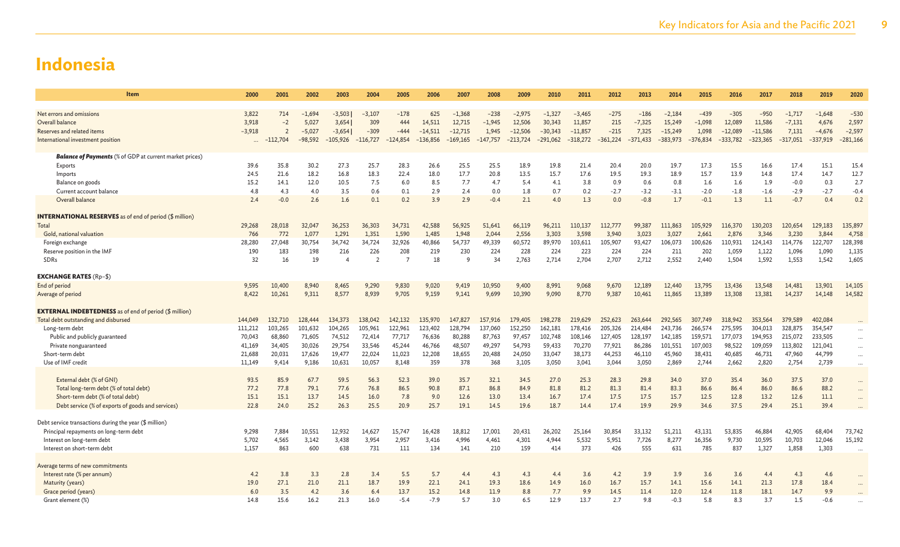| 3,822<br>$-1.694$<br>$-3,503$<br>$-1,368$<br>$-275$<br>$-186$<br>$-2,184$<br>$-439$<br>$-1,717$<br>$-1,648$<br>$-530$<br>Net errors and omissions<br>714<br>$-3,107$<br>$-178$<br>625<br>$-238$<br>$-2,975$<br>$-1,327$<br>$-3,465$<br>$-305$<br>$-950$<br>2,597<br>Overall balance<br>3,918<br>5,027<br>3,654<br>309<br>444<br>14,511<br>12,715<br>$-1,945$<br>12,506<br>30,343<br>11,857<br>215<br>$-7,325$<br>15,249<br>$-1,098$<br>12,089<br>11,586<br>$-7,131$<br>$-2$<br>4,676<br>$-2,597$<br>$-309$<br>$-215$<br>7,325<br>1,098<br>$-12,089$<br>$-11,586$<br>7,131<br>Reserves and related items<br>$-3.918$<br>$-3,654$<br>$-444$<br>$-14.511$<br>$-12.715$<br>$-12,506$<br>$-30,343$<br>$-11.857$<br>$-15,249$<br>2<br>$-5.027$<br>1,945<br>$-4.676$<br>$-116,727$<br>$-361,224$<br>$-317,051$<br>$-281,166$<br>International investment position<br>$-98,592$<br>$-105,926$<br>$-124.854$<br>$-136,856$<br>$-169,165$<br>$-147.757$<br>$-291,062$<br>$-318,272$<br>$-371,433$<br>$-383.973$<br>$-376,834$<br>$-333.782$<br>$-323,365$<br>$-337,919$<br>$-112,704$<br>$-213,724$<br><b>Balance of Payments</b> (% of GDP at current market prices)<br>39.6<br>35.8<br>30.2<br>27.3<br>25.7<br>28.3<br>26.6<br>25.5<br>25.5<br>18.9<br>19.8<br>21.4<br>20.4<br>20.0<br>19.7<br>17.3<br>15.5<br>16.6<br>17.4<br>15.1<br>15.4<br>Exports<br>17.7<br>12.7<br>24.5<br>21.6<br>18.2<br>16.8<br>18.3<br>22.4<br>18.0<br>20.8<br>13.5<br>15.7<br>17.6<br>19.5<br>19.3<br>18.9<br>15.7<br>17.4<br>14.7<br>Imports<br>13.9<br>14.8<br>2.7<br>15.2<br>12.0<br>10.5<br>7.5<br>7.7<br>0.9<br>0.8<br>1.9<br>0.3<br>Balance on goods<br>14.1<br>6.0<br>8.5<br>4.7<br>5.4<br>4.1<br>3.8<br>0.6<br>1.6<br>1.6<br>$-0.0$<br>$-0.4$<br>4.8<br>3.5<br>Current account balance<br>4.3<br>4.0<br>0.6<br>0.1<br>2.9<br>2.4<br>0.0<br>1.8<br>0.7<br>0.2<br>$-2.7$<br>$-3.2$<br>$-3.1$<br>$-2.0$<br>$-1.8$<br>$-1.6$<br>$-2.9$<br>$-2.7$<br>2.4<br>3.9<br>2.9<br>2.1<br>1.3<br>0.4<br>0.2<br>Overall balance<br>$-0.0$<br>2.6<br>1.6<br>0.1<br>0.2<br>$-0.4$<br>4.0<br>0.0<br>$-0.8$<br>1.7<br>$-0.1$<br>1.3<br>1.1<br>$-0.7$<br><b>INTERNATIONAL RESERVES</b> as of end of period (\$ million)<br>Total<br>29,268<br>32,047<br>36,253<br>36,303<br>42,588<br>56,925<br>66,119<br>96,211<br>111,863<br>105,929<br>120,654<br>129,183<br>135,897<br>28,018<br>34.731<br>51,641<br>110,137<br>112,777<br>99,387<br>116,370<br>130,203<br>766<br>1,948<br>4,758<br>Gold, national valuation<br>772<br>1,077<br>1,291<br>1,351<br>1,590<br>1,485<br>2,044<br>2,556<br>3,303<br>3,598<br>3,940<br>3,023<br>3,027<br>2,661<br>2,876<br>3,346<br>3,230<br>3,844<br>128,398<br>28,280<br>27,048<br>30,754<br>34,742<br>34,724<br>32,926<br>40,866<br>54,737<br>49,339<br>60,572<br>89,970<br>103,611<br>105,907<br>93,427<br>106,073<br>100,626<br>110,931<br>124,143<br>114,776<br>122,707<br>Foreign exchange<br>190<br>183<br>198<br>216<br>226<br>208<br>219<br>230<br>224<br>228<br>224<br>223<br>224<br>224<br>211<br>202<br>1,059<br>1,122<br>1,096<br>1,090<br>1,135<br>Reserve position in the IMF<br>2,552<br>1,605<br>32<br>16<br>19<br>$\overline{2}$<br>18<br>2,763<br>2,714<br>2,704<br>2,707<br>2,712<br>2,440<br>1,504<br>1,592<br>1,553<br>1,542<br><b>SDRs</b><br>Q<br>34<br>$\Delta$<br><b>EXCHANGE RATES (Rp-\$)</b><br>End of period<br>8,940<br>9,290<br>9,419<br>9,400<br>8,991<br>9,068<br>12,189<br>12,440<br>13,795<br>13,436<br>13,548<br>14,481<br>13,901<br>14,105<br>9.595<br>10,400<br>8,465<br>9,830<br>9,020<br>10,950<br>9,670<br>14,582<br>8,422<br>9,311<br>8,577<br>8,939<br>9,705<br>9,159<br>9,141<br>9,699<br>10,390<br>9,090<br>8,770<br>9,387<br>10,461<br>11,865<br>13,389<br>13,308<br>13,381<br>14,237<br>Average of period<br>10,261<br>14,148<br><b>EXTERNAL INDEBTEDNESS</b> as of end of period (\$ million)<br>Total debt outstanding and disbursed<br>134,373<br>138,042<br>263,644<br>292,565<br>379,589<br>402,084<br>144,049<br>132,710<br>128,444<br>142,132<br>135,970<br>147,827<br>157,916<br>179,405<br>198,278<br>219,629<br>252,623<br>307,749<br>318,942<br>353,564<br>Long-term debt<br>111,212<br>103,265<br>101,632<br>104,265<br>105,961<br>122.961<br>123,402<br>128,794<br>152,250<br>162,181<br>178,416<br>205,326<br>214,484<br>243.736<br>304,013<br>328,875<br>354,547<br>137,060<br>266,574<br>275,595<br>Public and publicly guaranteed<br>70,043<br>68,860<br>71,605<br>74,512<br>77,717<br>76,636<br>80,288<br>97,457<br>102,748<br>127,405<br>128,197<br>142,185<br>159,571<br>177,073<br>194,953<br>215,072<br>233,505<br>72,414<br>87,763<br>108,146<br>$\cdots$<br>48,507<br>101,551<br>41,169<br>34,405<br>30,026<br>29,754<br>33,546<br>45,244<br>46,766<br>49,297<br>54,793<br>59,433<br>70,270<br>77,921<br>86,286<br>107,003<br>98,522<br>109,059<br>113,802<br>121,041<br>Private nonguaranteed<br>$\ddotsc$<br>18,655<br>21,688<br>17,626<br>19,477<br>11,023<br>12,208<br>24,050<br>33,047<br>38,173<br>44,253<br>46,110<br>45,960<br>38.431<br>40,685<br>46,731<br>47,960<br>44,799<br>Short-term debt<br>20,031<br>22,024<br>20,488<br>$\cdots$<br>Use of IMF credit<br>11,149<br>9,414<br>9,186<br>10,631<br>10,057<br>8,148<br>359<br>378<br>368<br>3,105<br>3,050<br>3,041<br>3,044<br>3,050<br>2,869<br>2,744<br>2,662<br>2,820<br>2,754<br>2,739<br>$\cdots$<br>External debt (% of GNI)<br>93.5<br>85.9<br>67.7<br>59.5<br>56.3<br>52.3<br>39.0<br>35.7<br>32.1<br>34.5<br>27.0<br>25.3<br>28.3<br>29.8<br>34.0<br>37.0<br>35.4<br>36.0<br>37.5<br>37.0<br><br>77.2<br>79.1<br>77.6<br>76.8<br>87.1<br>81.8<br>81.2<br>81.4<br>83.3<br>86.6<br>88.2<br>Total long-term debt (% of total debt)<br>77.8<br>86.5<br>90.8<br>86.8<br>84.9<br>81.3<br>86.6<br>86.4<br>86.0<br>15.1<br>15.1<br>13.7<br>7.8<br>12.6<br>13.0<br>16.7<br>17.4<br>17.5<br>17.5<br>15.7<br>12.5<br>12.8<br>13.2<br>12.6<br>11.1<br>Short-term debt (% of total debt)<br>14.5<br>16.0<br>9.0<br>13.4<br>22.8<br>25.2<br>25.5<br>17.4<br>34.6<br>29.4<br>25.1<br>39.4<br>Debt service (% of exports of goods and services)<br>24.0<br>26.3<br>20.9<br>25.7<br>19.1<br>14.5<br>19.6<br>18.7<br>14.4<br>19.9<br>29.9<br>37.5<br>Debt service transactions during the year (\$ million)<br>Principal repayments on long-term debt<br>9,298<br>10,551<br>12,932<br>14,627<br>18,812<br>33,132<br>51,211<br>53,835<br>46,884<br>42,905<br>68,404<br>73,742<br>7,884<br>15,747<br>16,428<br>17,001<br>20,431<br>26,202<br>30,854<br>43,131<br>25,164<br>4,996<br>15,192<br>5,702<br>4,565<br>3,438<br>3,954<br>2,957<br>4,301<br>4,944<br>5,532<br>5,951<br>7,726<br>8,277<br>16,356<br>9,730<br>10,595<br>10,703<br>12,046<br>Interest on long-term debt<br>3,142<br>3,416<br>4.461<br>426<br>1.157<br>863<br>600<br>638<br>731<br>111<br>210<br>159<br>373<br>555<br>631<br>785<br>837<br>1,327<br>1,858<br>1,303<br>Interest on short-term debt<br>134<br>141<br>414<br>Average terms of new commitments<br>Interest rate (% per annum)<br>4.2<br>4.3<br>4.6<br>4.2<br>3.8<br>3.3<br>2.8<br>3.4<br>5.5<br>5.7<br>4.4<br>4.3<br>4.3<br>3.6<br>3.9<br>3.9<br>3.6<br>3.6<br>4.4<br>4.4<br>27.1<br>21.1<br>18.7<br>19.9<br>22.1<br>16.7<br>17.8<br>Maturity (years)<br>19.0<br>21.0<br>24.1<br>19.3<br>18.6<br>14.9<br>16.0<br>15.7<br>14.1<br>15.6<br>14.1<br>21.3<br>18.4<br>18.1<br>Grace period (years)<br>3.5<br>4.2<br>3.6<br>13.7<br>15.2<br>14.8<br>11.9<br>8.8<br>7.7<br>9.9<br>14.5<br>11.4<br>12.0<br>12.4<br>11.8<br>14.7<br>9.9<br>6.0<br>6.4<br>Grant element (%)<br>14.8<br>15.6<br>16.2<br>21.3<br>$-5.4$<br>$-7.9$<br>5.7<br>3.0<br>12.9<br>13.7<br>2.7<br>$-0.3$<br>5.8<br>8.3<br>3.7<br>1.5<br>$-0.6$<br>16.0<br>6.5<br>9.8 | Item | 2000 | 2001 | 2002 | 2003 | 2004 | 2005 | 2006 | 2007 | 2008 | 2009 | 2010 | 2011 | 2012 | 2013 | 2014 | 2015 | 2016 | 2017 | 2018 | 2019 | 2020 |
|------------------------------------------------------------------------------------------------------------------------------------------------------------------------------------------------------------------------------------------------------------------------------------------------------------------------------------------------------------------------------------------------------------------------------------------------------------------------------------------------------------------------------------------------------------------------------------------------------------------------------------------------------------------------------------------------------------------------------------------------------------------------------------------------------------------------------------------------------------------------------------------------------------------------------------------------------------------------------------------------------------------------------------------------------------------------------------------------------------------------------------------------------------------------------------------------------------------------------------------------------------------------------------------------------------------------------------------------------------------------------------------------------------------------------------------------------------------------------------------------------------------------------------------------------------------------------------------------------------------------------------------------------------------------------------------------------------------------------------------------------------------------------------------------------------------------------------------------------------------------------------------------------------------------------------------------------------------------------------------------------------------------------------------------------------------------------------------------------------------------------------------------------------------------------------------------------------------------------------------------------------------------------------------------------------------------------------------------------------------------------------------------------------------------------------------------------------------------------------------------------------------------------------------------------------------------------------------------------------------------------------------------------------------------------------------------------------------------------------------------------------------------------------------------------------------------------------------------------------------------------------------------------------------------------------------------------------------------------------------------------------------------------------------------------------------------------------------------------------------------------------------------------------------------------------------------------------------------------------------------------------------------------------------------------------------------------------------------------------------------------------------------------------------------------------------------------------------------------------------------------------------------------------------------------------------------------------------------------------------------------------------------------------------------------------------------------------------------------------------------------------------------------------------------------------------------------------------------------------------------------------------------------------------------------------------------------------------------------------------------------------------------------------------------------------------------------------------------------------------------------------------------------------------------------------------------------------------------------------------------------------------------------------------------------------------------------------------------------------------------------------------------------------------------------------------------------------------------------------------------------------------------------------------------------------------------------------------------------------------------------------------------------------------------------------------------------------------------------------------------------------------------------------------------------------------------------------------------------------------------------------------------------------------------------------------------------------------------------------------------------------------------------------------------------------------------------------------------------------------------------------------------------------------------------------------------------------------------------------------------------------------------------------------------------------------------------------------------------------------------------------------------------------------------------------------------------------------------------------------------------------------------------------------------------------------------------------------------------------------------------------------------------------------------------------------------------------------------------------------------------------------------------------------------------------------------------------------------------------------------------------------------------------------------------------------------------------------------------------------------------------------------------------------------------------------------------------------------------------------------------------------------------------------------------------------------------------------------------------------------------------------------------------------------------------------------------------------------------------------------------------------------------------------------------------------------------------------------------------------------------------------------------------------------------------------------------------------------------------------------------------------------------------------------------------------------------------------------------------------------------------------------------------------------------------------------------------------------------------------------------------------------------------------------------------------------------------------------------------------------------------------------------------------------------------------------------------------------------------------------------------------------------------------------------------------------------------------------------------------------------------------------------------------------------------------------------------------------------------------------------------------------------------------------------------------------------------------------------------------------------------------------------------------------------------------------------------------------------------------------------------------------------------------------------------|------|------|------|------|------|------|------|------|------|------|------|------|------|------|------|------|------|------|------|------|------|------|
|                                                                                                                                                                                                                                                                                                                                                                                                                                                                                                                                                                                                                                                                                                                                                                                                                                                                                                                                                                                                                                                                                                                                                                                                                                                                                                                                                                                                                                                                                                                                                                                                                                                                                                                                                                                                                                                                                                                                                                                                                                                                                                                                                                                                                                                                                                                                                                                                                                                                                                                                                                                                                                                                                                                                                                                                                                                                                                                                                                                                                                                                                                                                                                                                                                                                                                                                                                                                                                                                                                                                                                                                                                                                                                                                                                                                                                                                                                                                                                                                                                                                                                                                                                                                                                                                                                                                                                                                                                                                                                                                                                                                                                                                                                                                                                                                                                                                                                                                                                                                                                                                                                                                                                                                                                                                                                                                                                                                                                                                                                                                                                                                                                                                                                                                                                                                                                                                                                                                                                                                                                                                                                                                                                                                                                                                                                                                                                                                                                                                                                                                                                                                                                                                                                                                                                                                                                                                                                                                                                                                                                                                                                                                                                                                                                                                                                                                                                                                                                                                                                                                                                                                                                                                                    |      |      |      |      |      |      |      |      |      |      |      |      |      |      |      |      |      |      |      |      |      |      |
|                                                                                                                                                                                                                                                                                                                                                                                                                                                                                                                                                                                                                                                                                                                                                                                                                                                                                                                                                                                                                                                                                                                                                                                                                                                                                                                                                                                                                                                                                                                                                                                                                                                                                                                                                                                                                                                                                                                                                                                                                                                                                                                                                                                                                                                                                                                                                                                                                                                                                                                                                                                                                                                                                                                                                                                                                                                                                                                                                                                                                                                                                                                                                                                                                                                                                                                                                                                                                                                                                                                                                                                                                                                                                                                                                                                                                                                                                                                                                                                                                                                                                                                                                                                                                                                                                                                                                                                                                                                                                                                                                                                                                                                                                                                                                                                                                                                                                                                                                                                                                                                                                                                                                                                                                                                                                                                                                                                                                                                                                                                                                                                                                                                                                                                                                                                                                                                                                                                                                                                                                                                                                                                                                                                                                                                                                                                                                                                                                                                                                                                                                                                                                                                                                                                                                                                                                                                                                                                                                                                                                                                                                                                                                                                                                                                                                                                                                                                                                                                                                                                                                                                                                                                                                    |      |      |      |      |      |      |      |      |      |      |      |      |      |      |      |      |      |      |      |      |      |      |
|                                                                                                                                                                                                                                                                                                                                                                                                                                                                                                                                                                                                                                                                                                                                                                                                                                                                                                                                                                                                                                                                                                                                                                                                                                                                                                                                                                                                                                                                                                                                                                                                                                                                                                                                                                                                                                                                                                                                                                                                                                                                                                                                                                                                                                                                                                                                                                                                                                                                                                                                                                                                                                                                                                                                                                                                                                                                                                                                                                                                                                                                                                                                                                                                                                                                                                                                                                                                                                                                                                                                                                                                                                                                                                                                                                                                                                                                                                                                                                                                                                                                                                                                                                                                                                                                                                                                                                                                                                                                                                                                                                                                                                                                                                                                                                                                                                                                                                                                                                                                                                                                                                                                                                                                                                                                                                                                                                                                                                                                                                                                                                                                                                                                                                                                                                                                                                                                                                                                                                                                                                                                                                                                                                                                                                                                                                                                                                                                                                                                                                                                                                                                                                                                                                                                                                                                                                                                                                                                                                                                                                                                                                                                                                                                                                                                                                                                                                                                                                                                                                                                                                                                                                                                                    |      |      |      |      |      |      |      |      |      |      |      |      |      |      |      |      |      |      |      |      |      |      |
|                                                                                                                                                                                                                                                                                                                                                                                                                                                                                                                                                                                                                                                                                                                                                                                                                                                                                                                                                                                                                                                                                                                                                                                                                                                                                                                                                                                                                                                                                                                                                                                                                                                                                                                                                                                                                                                                                                                                                                                                                                                                                                                                                                                                                                                                                                                                                                                                                                                                                                                                                                                                                                                                                                                                                                                                                                                                                                                                                                                                                                                                                                                                                                                                                                                                                                                                                                                                                                                                                                                                                                                                                                                                                                                                                                                                                                                                                                                                                                                                                                                                                                                                                                                                                                                                                                                                                                                                                                                                                                                                                                                                                                                                                                                                                                                                                                                                                                                                                                                                                                                                                                                                                                                                                                                                                                                                                                                                                                                                                                                                                                                                                                                                                                                                                                                                                                                                                                                                                                                                                                                                                                                                                                                                                                                                                                                                                                                                                                                                                                                                                                                                                                                                                                                                                                                                                                                                                                                                                                                                                                                                                                                                                                                                                                                                                                                                                                                                                                                                                                                                                                                                                                                                                    |      |      |      |      |      |      |      |      |      |      |      |      |      |      |      |      |      |      |      |      |      |      |
|                                                                                                                                                                                                                                                                                                                                                                                                                                                                                                                                                                                                                                                                                                                                                                                                                                                                                                                                                                                                                                                                                                                                                                                                                                                                                                                                                                                                                                                                                                                                                                                                                                                                                                                                                                                                                                                                                                                                                                                                                                                                                                                                                                                                                                                                                                                                                                                                                                                                                                                                                                                                                                                                                                                                                                                                                                                                                                                                                                                                                                                                                                                                                                                                                                                                                                                                                                                                                                                                                                                                                                                                                                                                                                                                                                                                                                                                                                                                                                                                                                                                                                                                                                                                                                                                                                                                                                                                                                                                                                                                                                                                                                                                                                                                                                                                                                                                                                                                                                                                                                                                                                                                                                                                                                                                                                                                                                                                                                                                                                                                                                                                                                                                                                                                                                                                                                                                                                                                                                                                                                                                                                                                                                                                                                                                                                                                                                                                                                                                                                                                                                                                                                                                                                                                                                                                                                                                                                                                                                                                                                                                                                                                                                                                                                                                                                                                                                                                                                                                                                                                                                                                                                                                                    |      |      |      |      |      |      |      |      |      |      |      |      |      |      |      |      |      |      |      |      |      |      |
|                                                                                                                                                                                                                                                                                                                                                                                                                                                                                                                                                                                                                                                                                                                                                                                                                                                                                                                                                                                                                                                                                                                                                                                                                                                                                                                                                                                                                                                                                                                                                                                                                                                                                                                                                                                                                                                                                                                                                                                                                                                                                                                                                                                                                                                                                                                                                                                                                                                                                                                                                                                                                                                                                                                                                                                                                                                                                                                                                                                                                                                                                                                                                                                                                                                                                                                                                                                                                                                                                                                                                                                                                                                                                                                                                                                                                                                                                                                                                                                                                                                                                                                                                                                                                                                                                                                                                                                                                                                                                                                                                                                                                                                                                                                                                                                                                                                                                                                                                                                                                                                                                                                                                                                                                                                                                                                                                                                                                                                                                                                                                                                                                                                                                                                                                                                                                                                                                                                                                                                                                                                                                                                                                                                                                                                                                                                                                                                                                                                                                                                                                                                                                                                                                                                                                                                                                                                                                                                                                                                                                                                                                                                                                                                                                                                                                                                                                                                                                                                                                                                                                                                                                                                                                    |      |      |      |      |      |      |      |      |      |      |      |      |      |      |      |      |      |      |      |      |      |      |
|                                                                                                                                                                                                                                                                                                                                                                                                                                                                                                                                                                                                                                                                                                                                                                                                                                                                                                                                                                                                                                                                                                                                                                                                                                                                                                                                                                                                                                                                                                                                                                                                                                                                                                                                                                                                                                                                                                                                                                                                                                                                                                                                                                                                                                                                                                                                                                                                                                                                                                                                                                                                                                                                                                                                                                                                                                                                                                                                                                                                                                                                                                                                                                                                                                                                                                                                                                                                                                                                                                                                                                                                                                                                                                                                                                                                                                                                                                                                                                                                                                                                                                                                                                                                                                                                                                                                                                                                                                                                                                                                                                                                                                                                                                                                                                                                                                                                                                                                                                                                                                                                                                                                                                                                                                                                                                                                                                                                                                                                                                                                                                                                                                                                                                                                                                                                                                                                                                                                                                                                                                                                                                                                                                                                                                                                                                                                                                                                                                                                                                                                                                                                                                                                                                                                                                                                                                                                                                                                                                                                                                                                                                                                                                                                                                                                                                                                                                                                                                                                                                                                                                                                                                                                                    |      |      |      |      |      |      |      |      |      |      |      |      |      |      |      |      |      |      |      |      |      |      |
|                                                                                                                                                                                                                                                                                                                                                                                                                                                                                                                                                                                                                                                                                                                                                                                                                                                                                                                                                                                                                                                                                                                                                                                                                                                                                                                                                                                                                                                                                                                                                                                                                                                                                                                                                                                                                                                                                                                                                                                                                                                                                                                                                                                                                                                                                                                                                                                                                                                                                                                                                                                                                                                                                                                                                                                                                                                                                                                                                                                                                                                                                                                                                                                                                                                                                                                                                                                                                                                                                                                                                                                                                                                                                                                                                                                                                                                                                                                                                                                                                                                                                                                                                                                                                                                                                                                                                                                                                                                                                                                                                                                                                                                                                                                                                                                                                                                                                                                                                                                                                                                                                                                                                                                                                                                                                                                                                                                                                                                                                                                                                                                                                                                                                                                                                                                                                                                                                                                                                                                                                                                                                                                                                                                                                                                                                                                                                                                                                                                                                                                                                                                                                                                                                                                                                                                                                                                                                                                                                                                                                                                                                                                                                                                                                                                                                                                                                                                                                                                                                                                                                                                                                                                                                    |      |      |      |      |      |      |      |      |      |      |      |      |      |      |      |      |      |      |      |      |      |      |
|                                                                                                                                                                                                                                                                                                                                                                                                                                                                                                                                                                                                                                                                                                                                                                                                                                                                                                                                                                                                                                                                                                                                                                                                                                                                                                                                                                                                                                                                                                                                                                                                                                                                                                                                                                                                                                                                                                                                                                                                                                                                                                                                                                                                                                                                                                                                                                                                                                                                                                                                                                                                                                                                                                                                                                                                                                                                                                                                                                                                                                                                                                                                                                                                                                                                                                                                                                                                                                                                                                                                                                                                                                                                                                                                                                                                                                                                                                                                                                                                                                                                                                                                                                                                                                                                                                                                                                                                                                                                                                                                                                                                                                                                                                                                                                                                                                                                                                                                                                                                                                                                                                                                                                                                                                                                                                                                                                                                                                                                                                                                                                                                                                                                                                                                                                                                                                                                                                                                                                                                                                                                                                                                                                                                                                                                                                                                                                                                                                                                                                                                                                                                                                                                                                                                                                                                                                                                                                                                                                                                                                                                                                                                                                                                                                                                                                                                                                                                                                                                                                                                                                                                                                                                                    |      |      |      |      |      |      |      |      |      |      |      |      |      |      |      |      |      |      |      |      |      |      |
|                                                                                                                                                                                                                                                                                                                                                                                                                                                                                                                                                                                                                                                                                                                                                                                                                                                                                                                                                                                                                                                                                                                                                                                                                                                                                                                                                                                                                                                                                                                                                                                                                                                                                                                                                                                                                                                                                                                                                                                                                                                                                                                                                                                                                                                                                                                                                                                                                                                                                                                                                                                                                                                                                                                                                                                                                                                                                                                                                                                                                                                                                                                                                                                                                                                                                                                                                                                                                                                                                                                                                                                                                                                                                                                                                                                                                                                                                                                                                                                                                                                                                                                                                                                                                                                                                                                                                                                                                                                                                                                                                                                                                                                                                                                                                                                                                                                                                                                                                                                                                                                                                                                                                                                                                                                                                                                                                                                                                                                                                                                                                                                                                                                                                                                                                                                                                                                                                                                                                                                                                                                                                                                                                                                                                                                                                                                                                                                                                                                                                                                                                                                                                                                                                                                                                                                                                                                                                                                                                                                                                                                                                                                                                                                                                                                                                                                                                                                                                                                                                                                                                                                                                                                                                    |      |      |      |      |      |      |      |      |      |      |      |      |      |      |      |      |      |      |      |      |      |      |
|                                                                                                                                                                                                                                                                                                                                                                                                                                                                                                                                                                                                                                                                                                                                                                                                                                                                                                                                                                                                                                                                                                                                                                                                                                                                                                                                                                                                                                                                                                                                                                                                                                                                                                                                                                                                                                                                                                                                                                                                                                                                                                                                                                                                                                                                                                                                                                                                                                                                                                                                                                                                                                                                                                                                                                                                                                                                                                                                                                                                                                                                                                                                                                                                                                                                                                                                                                                                                                                                                                                                                                                                                                                                                                                                                                                                                                                                                                                                                                                                                                                                                                                                                                                                                                                                                                                                                                                                                                                                                                                                                                                                                                                                                                                                                                                                                                                                                                                                                                                                                                                                                                                                                                                                                                                                                                                                                                                                                                                                                                                                                                                                                                                                                                                                                                                                                                                                                                                                                                                                                                                                                                                                                                                                                                                                                                                                                                                                                                                                                                                                                                                                                                                                                                                                                                                                                                                                                                                                                                                                                                                                                                                                                                                                                                                                                                                                                                                                                                                                                                                                                                                                                                                                                    |      |      |      |      |      |      |      |      |      |      |      |      |      |      |      |      |      |      |      |      |      |      |
|                                                                                                                                                                                                                                                                                                                                                                                                                                                                                                                                                                                                                                                                                                                                                                                                                                                                                                                                                                                                                                                                                                                                                                                                                                                                                                                                                                                                                                                                                                                                                                                                                                                                                                                                                                                                                                                                                                                                                                                                                                                                                                                                                                                                                                                                                                                                                                                                                                                                                                                                                                                                                                                                                                                                                                                                                                                                                                                                                                                                                                                                                                                                                                                                                                                                                                                                                                                                                                                                                                                                                                                                                                                                                                                                                                                                                                                                                                                                                                                                                                                                                                                                                                                                                                                                                                                                                                                                                                                                                                                                                                                                                                                                                                                                                                                                                                                                                                                                                                                                                                                                                                                                                                                                                                                                                                                                                                                                                                                                                                                                                                                                                                                                                                                                                                                                                                                                                                                                                                                                                                                                                                                                                                                                                                                                                                                                                                                                                                                                                                                                                                                                                                                                                                                                                                                                                                                                                                                                                                                                                                                                                                                                                                                                                                                                                                                                                                                                                                                                                                                                                                                                                                                                                    |      |      |      |      |      |      |      |      |      |      |      |      |      |      |      |      |      |      |      |      |      |      |
|                                                                                                                                                                                                                                                                                                                                                                                                                                                                                                                                                                                                                                                                                                                                                                                                                                                                                                                                                                                                                                                                                                                                                                                                                                                                                                                                                                                                                                                                                                                                                                                                                                                                                                                                                                                                                                                                                                                                                                                                                                                                                                                                                                                                                                                                                                                                                                                                                                                                                                                                                                                                                                                                                                                                                                                                                                                                                                                                                                                                                                                                                                                                                                                                                                                                                                                                                                                                                                                                                                                                                                                                                                                                                                                                                                                                                                                                                                                                                                                                                                                                                                                                                                                                                                                                                                                                                                                                                                                                                                                                                                                                                                                                                                                                                                                                                                                                                                                                                                                                                                                                                                                                                                                                                                                                                                                                                                                                                                                                                                                                                                                                                                                                                                                                                                                                                                                                                                                                                                                                                                                                                                                                                                                                                                                                                                                                                                                                                                                                                                                                                                                                                                                                                                                                                                                                                                                                                                                                                                                                                                                                                                                                                                                                                                                                                                                                                                                                                                                                                                                                                                                                                                                                                    |      |      |      |      |      |      |      |      |      |      |      |      |      |      |      |      |      |      |      |      |      |      |
|                                                                                                                                                                                                                                                                                                                                                                                                                                                                                                                                                                                                                                                                                                                                                                                                                                                                                                                                                                                                                                                                                                                                                                                                                                                                                                                                                                                                                                                                                                                                                                                                                                                                                                                                                                                                                                                                                                                                                                                                                                                                                                                                                                                                                                                                                                                                                                                                                                                                                                                                                                                                                                                                                                                                                                                                                                                                                                                                                                                                                                                                                                                                                                                                                                                                                                                                                                                                                                                                                                                                                                                                                                                                                                                                                                                                                                                                                                                                                                                                                                                                                                                                                                                                                                                                                                                                                                                                                                                                                                                                                                                                                                                                                                                                                                                                                                                                                                                                                                                                                                                                                                                                                                                                                                                                                                                                                                                                                                                                                                                                                                                                                                                                                                                                                                                                                                                                                                                                                                                                                                                                                                                                                                                                                                                                                                                                                                                                                                                                                                                                                                                                                                                                                                                                                                                                                                                                                                                                                                                                                                                                                                                                                                                                                                                                                                                                                                                                                                                                                                                                                                                                                                                                                    |      |      |      |      |      |      |      |      |      |      |      |      |      |      |      |      |      |      |      |      |      |      |
|                                                                                                                                                                                                                                                                                                                                                                                                                                                                                                                                                                                                                                                                                                                                                                                                                                                                                                                                                                                                                                                                                                                                                                                                                                                                                                                                                                                                                                                                                                                                                                                                                                                                                                                                                                                                                                                                                                                                                                                                                                                                                                                                                                                                                                                                                                                                                                                                                                                                                                                                                                                                                                                                                                                                                                                                                                                                                                                                                                                                                                                                                                                                                                                                                                                                                                                                                                                                                                                                                                                                                                                                                                                                                                                                                                                                                                                                                                                                                                                                                                                                                                                                                                                                                                                                                                                                                                                                                                                                                                                                                                                                                                                                                                                                                                                                                                                                                                                                                                                                                                                                                                                                                                                                                                                                                                                                                                                                                                                                                                                                                                                                                                                                                                                                                                                                                                                                                                                                                                                                                                                                                                                                                                                                                                                                                                                                                                                                                                                                                                                                                                                                                                                                                                                                                                                                                                                                                                                                                                                                                                                                                                                                                                                                                                                                                                                                                                                                                                                                                                                                                                                                                                                                                    |      |      |      |      |      |      |      |      |      |      |      |      |      |      |      |      |      |      |      |      |      |      |
|                                                                                                                                                                                                                                                                                                                                                                                                                                                                                                                                                                                                                                                                                                                                                                                                                                                                                                                                                                                                                                                                                                                                                                                                                                                                                                                                                                                                                                                                                                                                                                                                                                                                                                                                                                                                                                                                                                                                                                                                                                                                                                                                                                                                                                                                                                                                                                                                                                                                                                                                                                                                                                                                                                                                                                                                                                                                                                                                                                                                                                                                                                                                                                                                                                                                                                                                                                                                                                                                                                                                                                                                                                                                                                                                                                                                                                                                                                                                                                                                                                                                                                                                                                                                                                                                                                                                                                                                                                                                                                                                                                                                                                                                                                                                                                                                                                                                                                                                                                                                                                                                                                                                                                                                                                                                                                                                                                                                                                                                                                                                                                                                                                                                                                                                                                                                                                                                                                                                                                                                                                                                                                                                                                                                                                                                                                                                                                                                                                                                                                                                                                                                                                                                                                                                                                                                                                                                                                                                                                                                                                                                                                                                                                                                                                                                                                                                                                                                                                                                                                                                                                                                                                                                                    |      |      |      |      |      |      |      |      |      |      |      |      |      |      |      |      |      |      |      |      |      |      |
|                                                                                                                                                                                                                                                                                                                                                                                                                                                                                                                                                                                                                                                                                                                                                                                                                                                                                                                                                                                                                                                                                                                                                                                                                                                                                                                                                                                                                                                                                                                                                                                                                                                                                                                                                                                                                                                                                                                                                                                                                                                                                                                                                                                                                                                                                                                                                                                                                                                                                                                                                                                                                                                                                                                                                                                                                                                                                                                                                                                                                                                                                                                                                                                                                                                                                                                                                                                                                                                                                                                                                                                                                                                                                                                                                                                                                                                                                                                                                                                                                                                                                                                                                                                                                                                                                                                                                                                                                                                                                                                                                                                                                                                                                                                                                                                                                                                                                                                                                                                                                                                                                                                                                                                                                                                                                                                                                                                                                                                                                                                                                                                                                                                                                                                                                                                                                                                                                                                                                                                                                                                                                                                                                                                                                                                                                                                                                                                                                                                                                                                                                                                                                                                                                                                                                                                                                                                                                                                                                                                                                                                                                                                                                                                                                                                                                                                                                                                                                                                                                                                                                                                                                                                                                    |      |      |      |      |      |      |      |      |      |      |      |      |      |      |      |      |      |      |      |      |      |      |
|                                                                                                                                                                                                                                                                                                                                                                                                                                                                                                                                                                                                                                                                                                                                                                                                                                                                                                                                                                                                                                                                                                                                                                                                                                                                                                                                                                                                                                                                                                                                                                                                                                                                                                                                                                                                                                                                                                                                                                                                                                                                                                                                                                                                                                                                                                                                                                                                                                                                                                                                                                                                                                                                                                                                                                                                                                                                                                                                                                                                                                                                                                                                                                                                                                                                                                                                                                                                                                                                                                                                                                                                                                                                                                                                                                                                                                                                                                                                                                                                                                                                                                                                                                                                                                                                                                                                                                                                                                                                                                                                                                                                                                                                                                                                                                                                                                                                                                                                                                                                                                                                                                                                                                                                                                                                                                                                                                                                                                                                                                                                                                                                                                                                                                                                                                                                                                                                                                                                                                                                                                                                                                                                                                                                                                                                                                                                                                                                                                                                                                                                                                                                                                                                                                                                                                                                                                                                                                                                                                                                                                                                                                                                                                                                                                                                                                                                                                                                                                                                                                                                                                                                                                                                                    |      |      |      |      |      |      |      |      |      |      |      |      |      |      |      |      |      |      |      |      |      |      |
|                                                                                                                                                                                                                                                                                                                                                                                                                                                                                                                                                                                                                                                                                                                                                                                                                                                                                                                                                                                                                                                                                                                                                                                                                                                                                                                                                                                                                                                                                                                                                                                                                                                                                                                                                                                                                                                                                                                                                                                                                                                                                                                                                                                                                                                                                                                                                                                                                                                                                                                                                                                                                                                                                                                                                                                                                                                                                                                                                                                                                                                                                                                                                                                                                                                                                                                                                                                                                                                                                                                                                                                                                                                                                                                                                                                                                                                                                                                                                                                                                                                                                                                                                                                                                                                                                                                                                                                                                                                                                                                                                                                                                                                                                                                                                                                                                                                                                                                                                                                                                                                                                                                                                                                                                                                                                                                                                                                                                                                                                                                                                                                                                                                                                                                                                                                                                                                                                                                                                                                                                                                                                                                                                                                                                                                                                                                                                                                                                                                                                                                                                                                                                                                                                                                                                                                                                                                                                                                                                                                                                                                                                                                                                                                                                                                                                                                                                                                                                                                                                                                                                                                                                                                                                    |      |      |      |      |      |      |      |      |      |      |      |      |      |      |      |      |      |      |      |      |      |      |
|                                                                                                                                                                                                                                                                                                                                                                                                                                                                                                                                                                                                                                                                                                                                                                                                                                                                                                                                                                                                                                                                                                                                                                                                                                                                                                                                                                                                                                                                                                                                                                                                                                                                                                                                                                                                                                                                                                                                                                                                                                                                                                                                                                                                                                                                                                                                                                                                                                                                                                                                                                                                                                                                                                                                                                                                                                                                                                                                                                                                                                                                                                                                                                                                                                                                                                                                                                                                                                                                                                                                                                                                                                                                                                                                                                                                                                                                                                                                                                                                                                                                                                                                                                                                                                                                                                                                                                                                                                                                                                                                                                                                                                                                                                                                                                                                                                                                                                                                                                                                                                                                                                                                                                                                                                                                                                                                                                                                                                                                                                                                                                                                                                                                                                                                                                                                                                                                                                                                                                                                                                                                                                                                                                                                                                                                                                                                                                                                                                                                                                                                                                                                                                                                                                                                                                                                                                                                                                                                                                                                                                                                                                                                                                                                                                                                                                                                                                                                                                                                                                                                                                                                                                                                                    |      |      |      |      |      |      |      |      |      |      |      |      |      |      |      |      |      |      |      |      |      |      |
|                                                                                                                                                                                                                                                                                                                                                                                                                                                                                                                                                                                                                                                                                                                                                                                                                                                                                                                                                                                                                                                                                                                                                                                                                                                                                                                                                                                                                                                                                                                                                                                                                                                                                                                                                                                                                                                                                                                                                                                                                                                                                                                                                                                                                                                                                                                                                                                                                                                                                                                                                                                                                                                                                                                                                                                                                                                                                                                                                                                                                                                                                                                                                                                                                                                                                                                                                                                                                                                                                                                                                                                                                                                                                                                                                                                                                                                                                                                                                                                                                                                                                                                                                                                                                                                                                                                                                                                                                                                                                                                                                                                                                                                                                                                                                                                                                                                                                                                                                                                                                                                                                                                                                                                                                                                                                                                                                                                                                                                                                                                                                                                                                                                                                                                                                                                                                                                                                                                                                                                                                                                                                                                                                                                                                                                                                                                                                                                                                                                                                                                                                                                                                                                                                                                                                                                                                                                                                                                                                                                                                                                                                                                                                                                                                                                                                                                                                                                                                                                                                                                                                                                                                                                                                    |      |      |      |      |      |      |      |      |      |      |      |      |      |      |      |      |      |      |      |      |      |      |
|                                                                                                                                                                                                                                                                                                                                                                                                                                                                                                                                                                                                                                                                                                                                                                                                                                                                                                                                                                                                                                                                                                                                                                                                                                                                                                                                                                                                                                                                                                                                                                                                                                                                                                                                                                                                                                                                                                                                                                                                                                                                                                                                                                                                                                                                                                                                                                                                                                                                                                                                                                                                                                                                                                                                                                                                                                                                                                                                                                                                                                                                                                                                                                                                                                                                                                                                                                                                                                                                                                                                                                                                                                                                                                                                                                                                                                                                                                                                                                                                                                                                                                                                                                                                                                                                                                                                                                                                                                                                                                                                                                                                                                                                                                                                                                                                                                                                                                                                                                                                                                                                                                                                                                                                                                                                                                                                                                                                                                                                                                                                                                                                                                                                                                                                                                                                                                                                                                                                                                                                                                                                                                                                                                                                                                                                                                                                                                                                                                                                                                                                                                                                                                                                                                                                                                                                                                                                                                                                                                                                                                                                                                                                                                                                                                                                                                                                                                                                                                                                                                                                                                                                                                                                                    |      |      |      |      |      |      |      |      |      |      |      |      |      |      |      |      |      |      |      |      |      |      |
|                                                                                                                                                                                                                                                                                                                                                                                                                                                                                                                                                                                                                                                                                                                                                                                                                                                                                                                                                                                                                                                                                                                                                                                                                                                                                                                                                                                                                                                                                                                                                                                                                                                                                                                                                                                                                                                                                                                                                                                                                                                                                                                                                                                                                                                                                                                                                                                                                                                                                                                                                                                                                                                                                                                                                                                                                                                                                                                                                                                                                                                                                                                                                                                                                                                                                                                                                                                                                                                                                                                                                                                                                                                                                                                                                                                                                                                                                                                                                                                                                                                                                                                                                                                                                                                                                                                                                                                                                                                                                                                                                                                                                                                                                                                                                                                                                                                                                                                                                                                                                                                                                                                                                                                                                                                                                                                                                                                                                                                                                                                                                                                                                                                                                                                                                                                                                                                                                                                                                                                                                                                                                                                                                                                                                                                                                                                                                                                                                                                                                                                                                                                                                                                                                                                                                                                                                                                                                                                                                                                                                                                                                                                                                                                                                                                                                                                                                                                                                                                                                                                                                                                                                                                                                    |      |      |      |      |      |      |      |      |      |      |      |      |      |      |      |      |      |      |      |      |      |      |
|                                                                                                                                                                                                                                                                                                                                                                                                                                                                                                                                                                                                                                                                                                                                                                                                                                                                                                                                                                                                                                                                                                                                                                                                                                                                                                                                                                                                                                                                                                                                                                                                                                                                                                                                                                                                                                                                                                                                                                                                                                                                                                                                                                                                                                                                                                                                                                                                                                                                                                                                                                                                                                                                                                                                                                                                                                                                                                                                                                                                                                                                                                                                                                                                                                                                                                                                                                                                                                                                                                                                                                                                                                                                                                                                                                                                                                                                                                                                                                                                                                                                                                                                                                                                                                                                                                                                                                                                                                                                                                                                                                                                                                                                                                                                                                                                                                                                                                                                                                                                                                                                                                                                                                                                                                                                                                                                                                                                                                                                                                                                                                                                                                                                                                                                                                                                                                                                                                                                                                                                                                                                                                                                                                                                                                                                                                                                                                                                                                                                                                                                                                                                                                                                                                                                                                                                                                                                                                                                                                                                                                                                                                                                                                                                                                                                                                                                                                                                                                                                                                                                                                                                                                                                                    |      |      |      |      |      |      |      |      |      |      |      |      |      |      |      |      |      |      |      |      |      |      |
|                                                                                                                                                                                                                                                                                                                                                                                                                                                                                                                                                                                                                                                                                                                                                                                                                                                                                                                                                                                                                                                                                                                                                                                                                                                                                                                                                                                                                                                                                                                                                                                                                                                                                                                                                                                                                                                                                                                                                                                                                                                                                                                                                                                                                                                                                                                                                                                                                                                                                                                                                                                                                                                                                                                                                                                                                                                                                                                                                                                                                                                                                                                                                                                                                                                                                                                                                                                                                                                                                                                                                                                                                                                                                                                                                                                                                                                                                                                                                                                                                                                                                                                                                                                                                                                                                                                                                                                                                                                                                                                                                                                                                                                                                                                                                                                                                                                                                                                                                                                                                                                                                                                                                                                                                                                                                                                                                                                                                                                                                                                                                                                                                                                                                                                                                                                                                                                                                                                                                                                                                                                                                                                                                                                                                                                                                                                                                                                                                                                                                                                                                                                                                                                                                                                                                                                                                                                                                                                                                                                                                                                                                                                                                                                                                                                                                                                                                                                                                                                                                                                                                                                                                                                                                    |      |      |      |      |      |      |      |      |      |      |      |      |      |      |      |      |      |      |      |      |      |      |
|                                                                                                                                                                                                                                                                                                                                                                                                                                                                                                                                                                                                                                                                                                                                                                                                                                                                                                                                                                                                                                                                                                                                                                                                                                                                                                                                                                                                                                                                                                                                                                                                                                                                                                                                                                                                                                                                                                                                                                                                                                                                                                                                                                                                                                                                                                                                                                                                                                                                                                                                                                                                                                                                                                                                                                                                                                                                                                                                                                                                                                                                                                                                                                                                                                                                                                                                                                                                                                                                                                                                                                                                                                                                                                                                                                                                                                                                                                                                                                                                                                                                                                                                                                                                                                                                                                                                                                                                                                                                                                                                                                                                                                                                                                                                                                                                                                                                                                                                                                                                                                                                                                                                                                                                                                                                                                                                                                                                                                                                                                                                                                                                                                                                                                                                                                                                                                                                                                                                                                                                                                                                                                                                                                                                                                                                                                                                                                                                                                                                                                                                                                                                                                                                                                                                                                                                                                                                                                                                                                                                                                                                                                                                                                                                                                                                                                                                                                                                                                                                                                                                                                                                                                                                                    |      |      |      |      |      |      |      |      |      |      |      |      |      |      |      |      |      |      |      |      |      |      |
|                                                                                                                                                                                                                                                                                                                                                                                                                                                                                                                                                                                                                                                                                                                                                                                                                                                                                                                                                                                                                                                                                                                                                                                                                                                                                                                                                                                                                                                                                                                                                                                                                                                                                                                                                                                                                                                                                                                                                                                                                                                                                                                                                                                                                                                                                                                                                                                                                                                                                                                                                                                                                                                                                                                                                                                                                                                                                                                                                                                                                                                                                                                                                                                                                                                                                                                                                                                                                                                                                                                                                                                                                                                                                                                                                                                                                                                                                                                                                                                                                                                                                                                                                                                                                                                                                                                                                                                                                                                                                                                                                                                                                                                                                                                                                                                                                                                                                                                                                                                                                                                                                                                                                                                                                                                                                                                                                                                                                                                                                                                                                                                                                                                                                                                                                                                                                                                                                                                                                                                                                                                                                                                                                                                                                                                                                                                                                                                                                                                                                                                                                                                                                                                                                                                                                                                                                                                                                                                                                                                                                                                                                                                                                                                                                                                                                                                                                                                                                                                                                                                                                                                                                                                                                    |      |      |      |      |      |      |      |      |      |      |      |      |      |      |      |      |      |      |      |      |      |      |
|                                                                                                                                                                                                                                                                                                                                                                                                                                                                                                                                                                                                                                                                                                                                                                                                                                                                                                                                                                                                                                                                                                                                                                                                                                                                                                                                                                                                                                                                                                                                                                                                                                                                                                                                                                                                                                                                                                                                                                                                                                                                                                                                                                                                                                                                                                                                                                                                                                                                                                                                                                                                                                                                                                                                                                                                                                                                                                                                                                                                                                                                                                                                                                                                                                                                                                                                                                                                                                                                                                                                                                                                                                                                                                                                                                                                                                                                                                                                                                                                                                                                                                                                                                                                                                                                                                                                                                                                                                                                                                                                                                                                                                                                                                                                                                                                                                                                                                                                                                                                                                                                                                                                                                                                                                                                                                                                                                                                                                                                                                                                                                                                                                                                                                                                                                                                                                                                                                                                                                                                                                                                                                                                                                                                                                                                                                                                                                                                                                                                                                                                                                                                                                                                                                                                                                                                                                                                                                                                                                                                                                                                                                                                                                                                                                                                                                                                                                                                                                                                                                                                                                                                                                                                                    |      |      |      |      |      |      |      |      |      |      |      |      |      |      |      |      |      |      |      |      |      |      |
|                                                                                                                                                                                                                                                                                                                                                                                                                                                                                                                                                                                                                                                                                                                                                                                                                                                                                                                                                                                                                                                                                                                                                                                                                                                                                                                                                                                                                                                                                                                                                                                                                                                                                                                                                                                                                                                                                                                                                                                                                                                                                                                                                                                                                                                                                                                                                                                                                                                                                                                                                                                                                                                                                                                                                                                                                                                                                                                                                                                                                                                                                                                                                                                                                                                                                                                                                                                                                                                                                                                                                                                                                                                                                                                                                                                                                                                                                                                                                                                                                                                                                                                                                                                                                                                                                                                                                                                                                                                                                                                                                                                                                                                                                                                                                                                                                                                                                                                                                                                                                                                                                                                                                                                                                                                                                                                                                                                                                                                                                                                                                                                                                                                                                                                                                                                                                                                                                                                                                                                                                                                                                                                                                                                                                                                                                                                                                                                                                                                                                                                                                                                                                                                                                                                                                                                                                                                                                                                                                                                                                                                                                                                                                                                                                                                                                                                                                                                                                                                                                                                                                                                                                                                                                    |      |      |      |      |      |      |      |      |      |      |      |      |      |      |      |      |      |      |      |      |      |      |
|                                                                                                                                                                                                                                                                                                                                                                                                                                                                                                                                                                                                                                                                                                                                                                                                                                                                                                                                                                                                                                                                                                                                                                                                                                                                                                                                                                                                                                                                                                                                                                                                                                                                                                                                                                                                                                                                                                                                                                                                                                                                                                                                                                                                                                                                                                                                                                                                                                                                                                                                                                                                                                                                                                                                                                                                                                                                                                                                                                                                                                                                                                                                                                                                                                                                                                                                                                                                                                                                                                                                                                                                                                                                                                                                                                                                                                                                                                                                                                                                                                                                                                                                                                                                                                                                                                                                                                                                                                                                                                                                                                                                                                                                                                                                                                                                                                                                                                                                                                                                                                                                                                                                                                                                                                                                                                                                                                                                                                                                                                                                                                                                                                                                                                                                                                                                                                                                                                                                                                                                                                                                                                                                                                                                                                                                                                                                                                                                                                                                                                                                                                                                                                                                                                                                                                                                                                                                                                                                                                                                                                                                                                                                                                                                                                                                                                                                                                                                                                                                                                                                                                                                                                                                                    |      |      |      |      |      |      |      |      |      |      |      |      |      |      |      |      |      |      |      |      |      |      |
|                                                                                                                                                                                                                                                                                                                                                                                                                                                                                                                                                                                                                                                                                                                                                                                                                                                                                                                                                                                                                                                                                                                                                                                                                                                                                                                                                                                                                                                                                                                                                                                                                                                                                                                                                                                                                                                                                                                                                                                                                                                                                                                                                                                                                                                                                                                                                                                                                                                                                                                                                                                                                                                                                                                                                                                                                                                                                                                                                                                                                                                                                                                                                                                                                                                                                                                                                                                                                                                                                                                                                                                                                                                                                                                                                                                                                                                                                                                                                                                                                                                                                                                                                                                                                                                                                                                                                                                                                                                                                                                                                                                                                                                                                                                                                                                                                                                                                                                                                                                                                                                                                                                                                                                                                                                                                                                                                                                                                                                                                                                                                                                                                                                                                                                                                                                                                                                                                                                                                                                                                                                                                                                                                                                                                                                                                                                                                                                                                                                                                                                                                                                                                                                                                                                                                                                                                                                                                                                                                                                                                                                                                                                                                                                                                                                                                                                                                                                                                                                                                                                                                                                                                                                                                    |      |      |      |      |      |      |      |      |      |      |      |      |      |      |      |      |      |      |      |      |      |      |
|                                                                                                                                                                                                                                                                                                                                                                                                                                                                                                                                                                                                                                                                                                                                                                                                                                                                                                                                                                                                                                                                                                                                                                                                                                                                                                                                                                                                                                                                                                                                                                                                                                                                                                                                                                                                                                                                                                                                                                                                                                                                                                                                                                                                                                                                                                                                                                                                                                                                                                                                                                                                                                                                                                                                                                                                                                                                                                                                                                                                                                                                                                                                                                                                                                                                                                                                                                                                                                                                                                                                                                                                                                                                                                                                                                                                                                                                                                                                                                                                                                                                                                                                                                                                                                                                                                                                                                                                                                                                                                                                                                                                                                                                                                                                                                                                                                                                                                                                                                                                                                                                                                                                                                                                                                                                                                                                                                                                                                                                                                                                                                                                                                                                                                                                                                                                                                                                                                                                                                                                                                                                                                                                                                                                                                                                                                                                                                                                                                                                                                                                                                                                                                                                                                                                                                                                                                                                                                                                                                                                                                                                                                                                                                                                                                                                                                                                                                                                                                                                                                                                                                                                                                                                                    |      |      |      |      |      |      |      |      |      |      |      |      |      |      |      |      |      |      |      |      |      |      |
|                                                                                                                                                                                                                                                                                                                                                                                                                                                                                                                                                                                                                                                                                                                                                                                                                                                                                                                                                                                                                                                                                                                                                                                                                                                                                                                                                                                                                                                                                                                                                                                                                                                                                                                                                                                                                                                                                                                                                                                                                                                                                                                                                                                                                                                                                                                                                                                                                                                                                                                                                                                                                                                                                                                                                                                                                                                                                                                                                                                                                                                                                                                                                                                                                                                                                                                                                                                                                                                                                                                                                                                                                                                                                                                                                                                                                                                                                                                                                                                                                                                                                                                                                                                                                                                                                                                                                                                                                                                                                                                                                                                                                                                                                                                                                                                                                                                                                                                                                                                                                                                                                                                                                                                                                                                                                                                                                                                                                                                                                                                                                                                                                                                                                                                                                                                                                                                                                                                                                                                                                                                                                                                                                                                                                                                                                                                                                                                                                                                                                                                                                                                                                                                                                                                                                                                                                                                                                                                                                                                                                                                                                                                                                                                                                                                                                                                                                                                                                                                                                                                                                                                                                                                                                    |      |      |      |      |      |      |      |      |      |      |      |      |      |      |      |      |      |      |      |      |      |      |
|                                                                                                                                                                                                                                                                                                                                                                                                                                                                                                                                                                                                                                                                                                                                                                                                                                                                                                                                                                                                                                                                                                                                                                                                                                                                                                                                                                                                                                                                                                                                                                                                                                                                                                                                                                                                                                                                                                                                                                                                                                                                                                                                                                                                                                                                                                                                                                                                                                                                                                                                                                                                                                                                                                                                                                                                                                                                                                                                                                                                                                                                                                                                                                                                                                                                                                                                                                                                                                                                                                                                                                                                                                                                                                                                                                                                                                                                                                                                                                                                                                                                                                                                                                                                                                                                                                                                                                                                                                                                                                                                                                                                                                                                                                                                                                                                                                                                                                                                                                                                                                                                                                                                                                                                                                                                                                                                                                                                                                                                                                                                                                                                                                                                                                                                                                                                                                                                                                                                                                                                                                                                                                                                                                                                                                                                                                                                                                                                                                                                                                                                                                                                                                                                                                                                                                                                                                                                                                                                                                                                                                                                                                                                                                                                                                                                                                                                                                                                                                                                                                                                                                                                                                                                                    |      |      |      |      |      |      |      |      |      |      |      |      |      |      |      |      |      |      |      |      |      |      |
|                                                                                                                                                                                                                                                                                                                                                                                                                                                                                                                                                                                                                                                                                                                                                                                                                                                                                                                                                                                                                                                                                                                                                                                                                                                                                                                                                                                                                                                                                                                                                                                                                                                                                                                                                                                                                                                                                                                                                                                                                                                                                                                                                                                                                                                                                                                                                                                                                                                                                                                                                                                                                                                                                                                                                                                                                                                                                                                                                                                                                                                                                                                                                                                                                                                                                                                                                                                                                                                                                                                                                                                                                                                                                                                                                                                                                                                                                                                                                                                                                                                                                                                                                                                                                                                                                                                                                                                                                                                                                                                                                                                                                                                                                                                                                                                                                                                                                                                                                                                                                                                                                                                                                                                                                                                                                                                                                                                                                                                                                                                                                                                                                                                                                                                                                                                                                                                                                                                                                                                                                                                                                                                                                                                                                                                                                                                                                                                                                                                                                                                                                                                                                                                                                                                                                                                                                                                                                                                                                                                                                                                                                                                                                                                                                                                                                                                                                                                                                                                                                                                                                                                                                                                                                    |      |      |      |      |      |      |      |      |      |      |      |      |      |      |      |      |      |      |      |      |      |      |
|                                                                                                                                                                                                                                                                                                                                                                                                                                                                                                                                                                                                                                                                                                                                                                                                                                                                                                                                                                                                                                                                                                                                                                                                                                                                                                                                                                                                                                                                                                                                                                                                                                                                                                                                                                                                                                                                                                                                                                                                                                                                                                                                                                                                                                                                                                                                                                                                                                                                                                                                                                                                                                                                                                                                                                                                                                                                                                                                                                                                                                                                                                                                                                                                                                                                                                                                                                                                                                                                                                                                                                                                                                                                                                                                                                                                                                                                                                                                                                                                                                                                                                                                                                                                                                                                                                                                                                                                                                                                                                                                                                                                                                                                                                                                                                                                                                                                                                                                                                                                                                                                                                                                                                                                                                                                                                                                                                                                                                                                                                                                                                                                                                                                                                                                                                                                                                                                                                                                                                                                                                                                                                                                                                                                                                                                                                                                                                                                                                                                                                                                                                                                                                                                                                                                                                                                                                                                                                                                                                                                                                                                                                                                                                                                                                                                                                                                                                                                                                                                                                                                                                                                                                                                                    |      |      |      |      |      |      |      |      |      |      |      |      |      |      |      |      |      |      |      |      |      |      |
|                                                                                                                                                                                                                                                                                                                                                                                                                                                                                                                                                                                                                                                                                                                                                                                                                                                                                                                                                                                                                                                                                                                                                                                                                                                                                                                                                                                                                                                                                                                                                                                                                                                                                                                                                                                                                                                                                                                                                                                                                                                                                                                                                                                                                                                                                                                                                                                                                                                                                                                                                                                                                                                                                                                                                                                                                                                                                                                                                                                                                                                                                                                                                                                                                                                                                                                                                                                                                                                                                                                                                                                                                                                                                                                                                                                                                                                                                                                                                                                                                                                                                                                                                                                                                                                                                                                                                                                                                                                                                                                                                                                                                                                                                                                                                                                                                                                                                                                                                                                                                                                                                                                                                                                                                                                                                                                                                                                                                                                                                                                                                                                                                                                                                                                                                                                                                                                                                                                                                                                                                                                                                                                                                                                                                                                                                                                                                                                                                                                                                                                                                                                                                                                                                                                                                                                                                                                                                                                                                                                                                                                                                                                                                                                                                                                                                                                                                                                                                                                                                                                                                                                                                                                                                    |      |      |      |      |      |      |      |      |      |      |      |      |      |      |      |      |      |      |      |      |      |      |
|                                                                                                                                                                                                                                                                                                                                                                                                                                                                                                                                                                                                                                                                                                                                                                                                                                                                                                                                                                                                                                                                                                                                                                                                                                                                                                                                                                                                                                                                                                                                                                                                                                                                                                                                                                                                                                                                                                                                                                                                                                                                                                                                                                                                                                                                                                                                                                                                                                                                                                                                                                                                                                                                                                                                                                                                                                                                                                                                                                                                                                                                                                                                                                                                                                                                                                                                                                                                                                                                                                                                                                                                                                                                                                                                                                                                                                                                                                                                                                                                                                                                                                                                                                                                                                                                                                                                                                                                                                                                                                                                                                                                                                                                                                                                                                                                                                                                                                                                                                                                                                                                                                                                                                                                                                                                                                                                                                                                                                                                                                                                                                                                                                                                                                                                                                                                                                                                                                                                                                                                                                                                                                                                                                                                                                                                                                                                                                                                                                                                                                                                                                                                                                                                                                                                                                                                                                                                                                                                                                                                                                                                                                                                                                                                                                                                                                                                                                                                                                                                                                                                                                                                                                                                                    |      |      |      |      |      |      |      |      |      |      |      |      |      |      |      |      |      |      |      |      |      |      |
|                                                                                                                                                                                                                                                                                                                                                                                                                                                                                                                                                                                                                                                                                                                                                                                                                                                                                                                                                                                                                                                                                                                                                                                                                                                                                                                                                                                                                                                                                                                                                                                                                                                                                                                                                                                                                                                                                                                                                                                                                                                                                                                                                                                                                                                                                                                                                                                                                                                                                                                                                                                                                                                                                                                                                                                                                                                                                                                                                                                                                                                                                                                                                                                                                                                                                                                                                                                                                                                                                                                                                                                                                                                                                                                                                                                                                                                                                                                                                                                                                                                                                                                                                                                                                                                                                                                                                                                                                                                                                                                                                                                                                                                                                                                                                                                                                                                                                                                                                                                                                                                                                                                                                                                                                                                                                                                                                                                                                                                                                                                                                                                                                                                                                                                                                                                                                                                                                                                                                                                                                                                                                                                                                                                                                                                                                                                                                                                                                                                                                                                                                                                                                                                                                                                                                                                                                                                                                                                                                                                                                                                                                                                                                                                                                                                                                                                                                                                                                                                                                                                                                                                                                                                                                    |      |      |      |      |      |      |      |      |      |      |      |      |      |      |      |      |      |      |      |      |      |      |
|                                                                                                                                                                                                                                                                                                                                                                                                                                                                                                                                                                                                                                                                                                                                                                                                                                                                                                                                                                                                                                                                                                                                                                                                                                                                                                                                                                                                                                                                                                                                                                                                                                                                                                                                                                                                                                                                                                                                                                                                                                                                                                                                                                                                                                                                                                                                                                                                                                                                                                                                                                                                                                                                                                                                                                                                                                                                                                                                                                                                                                                                                                                                                                                                                                                                                                                                                                                                                                                                                                                                                                                                                                                                                                                                                                                                                                                                                                                                                                                                                                                                                                                                                                                                                                                                                                                                                                                                                                                                                                                                                                                                                                                                                                                                                                                                                                                                                                                                                                                                                                                                                                                                                                                                                                                                                                                                                                                                                                                                                                                                                                                                                                                                                                                                                                                                                                                                                                                                                                                                                                                                                                                                                                                                                                                                                                                                                                                                                                                                                                                                                                                                                                                                                                                                                                                                                                                                                                                                                                                                                                                                                                                                                                                                                                                                                                                                                                                                                                                                                                                                                                                                                                                                                    |      |      |      |      |      |      |      |      |      |      |      |      |      |      |      |      |      |      |      |      |      |      |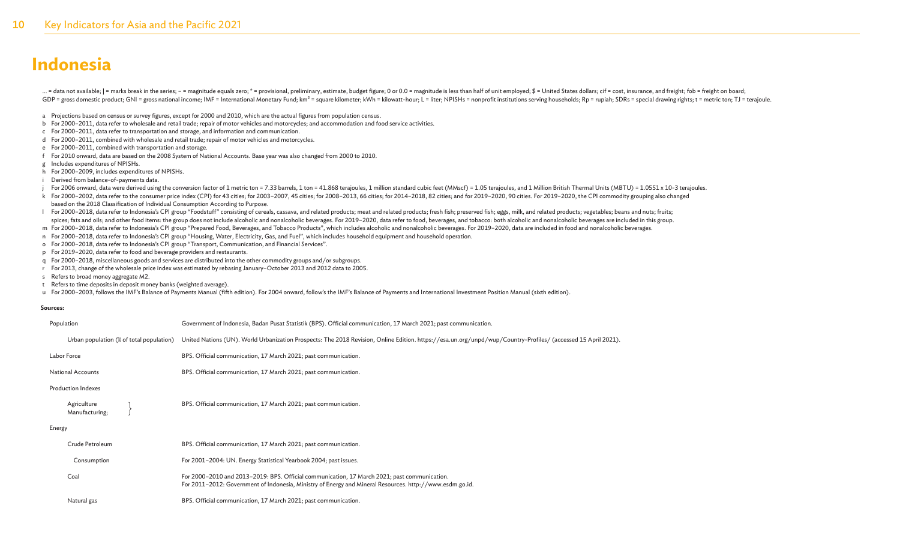... = data not available; | = marks break in the series; - = magnitude equals zero; \* = provisional, preliminary, estimate, budget figure; 0 or 0.0 = magnitude is less than half of unit employed; \$ = United States dollars; GDP = gross domestic product; GNI = gross national income; IMF = International Monetary Fund; km<sup>2</sup> = square kilometer; kWh = kilowatt-hour; L = liter; NPISHs = nonprofit institutions serving households; Rp = rupiah; SDRs

a Projections based on census or survey figures, except for 2000 and 2010, which are the actual figures from population census.

- b For 2000–2011, data refer to wholesale and retail trade; repair of motor vehicles and motorcycles; and accommodation and food service activities.
- c For 2000–2011, data refer to transportation and storage, and information and communication.
- d For 2000–2011, combined with wholesale and retail trade; repair of motor vehicles and motorcycles.
- e For 2000–2011, combined with transportation and storage.
- f For 2010 onward, data are based on the 2008 System of National Accounts. Base year was also changed from 2000 to 2010.
- g Includes expenditures of NPISHs.
- h For 2000–2009, includes expenditures of NPISHs.
- i Derived from balance-of-payments data.
- j For 2006 onward, data were derived using the conversion factor of 1 metric ton = 7.33 barrels, 1 ton = 41.868 terajoules, 1 million standard cubic feet (MMscf) = 1.05 terajoules, and 1 Million British Thermal Units (MBTU
- k For 2000-2002, data refer to the consumer price index (CPI) for 43 cities; for 2003-2007, 45 cities; for 2008-2013, 66 cities; for 2014-2018, 82 cities; and for 2019-2020, 90 cities. For 2019-2020, the CPI commodity grou based on the 2018 Classification of Individual Consumption According to Purpose.
- 1 For 2000-2018, data refer to Indonesia's CPI group "Foodstuff" consisting of cereals, cassava, and related products; meat and related products; fresh fish; preserved fish; eggs, milk, and related products; vegetables; be spices; fats and oils; and other food items: the group does not include alcoholic and nonalcoholic beverages. For 2019-2020, data refer to food, beverages, and tobacco: both alcoholic and nonalcoholic beverages are include
- m For 2000–2018, data refer to Indonesia's CPI group "Prepared Food, Beverages, and Tobacco Products", which includes alcoholic and nonalcoholic beverages. For 2019–2020, data are included in food and nonalcoholic beverages.
- n For 2000–2018, data refer to Indonesia's CPI group "Housing, Water, Electricity, Gas, and Fuel", which includes household equipment and household operation.
- o For 2000–2018, data refer to Indonesia's CPI group "Transport, Communication, and Financial Services".
- p For 2019–2020, data refer to food and beverage providers and restaurants.
- q For 2000–2018, miscellaneous goods and services are distributed into the other commodity groups and/or subgroups.
- r For 2013, change of the wholesale price index was estimated by rebasing January–October 2013 and 2012 data to 2005.
- s Refers to broad money aggregate M2.
- t Refers to time deposits in deposit money banks (weighted average).

u For 2000–2003, follows the IMF's Balance of Payments Manual (fifth edition). For 2004 onward, follow's the IMF's Balance of Payments and International Investment Position Manual (sixth edition).

#### **Sources:**

| Population                    |                                          | Government of Indonesia, Badan Pusat Statistik (BPS). Official communication, 17 March 2021; past communication.                                              |
|-------------------------------|------------------------------------------|---------------------------------------------------------------------------------------------------------------------------------------------------------------|
|                               | Urban population (% of total population) | United Nations (UN). World Urbanization Prospects: The 2018 Revision, Online Edition. https://esa.un.org/unpd/wup/Country-Profiles/ (accessed 15 April 2021). |
| Labor Force                   |                                          | BPS. Official communication, 17 March 2021; past communication.                                                                                               |
| <b>National Accounts</b>      |                                          | BPS. Official communication, 17 March 2021; past communication.                                                                                               |
| <b>Production Indexes</b>     |                                          |                                                                                                                                                               |
| Agriculture<br>Manufacturing; |                                          | BPS. Official communication, 17 March 2021; past communication.                                                                                               |
| Energy                        |                                          |                                                                                                                                                               |

| Crude Petroleum | BPS. Official communication, 17 March 2021; past communication.                                                                                                                                          |
|-----------------|----------------------------------------------------------------------------------------------------------------------------------------------------------------------------------------------------------|
| Consumption     | For 2001–2004: UN. Energy Statistical Yearbook 2004; past issues.                                                                                                                                        |
| Coal            | For 2000–2010 and 2013–2019: BPS. Official communication, 17 March 2021; past communication.<br>For 2011-2012: Government of Indonesia, Ministry of Energy and Mineral Resources. http://www.esdm.go.id. |
| Natural gas     | BPS. Official communication, 17 March 2021; past communication.                                                                                                                                          |